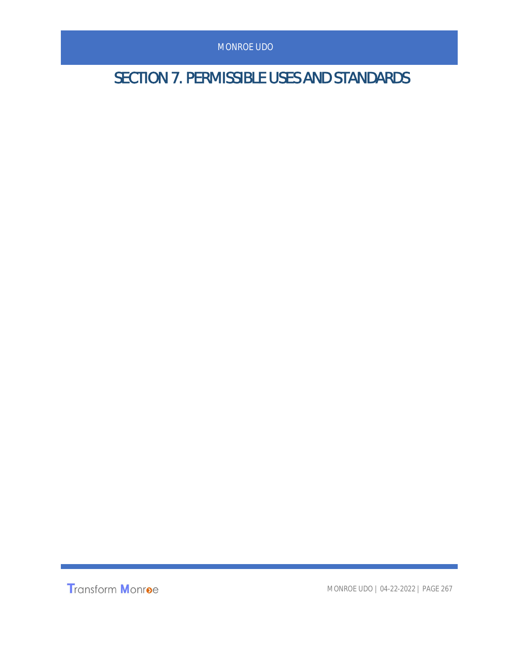SECTION 7. PERMISSIBLE USES AND STANDARDS

Transform Monroe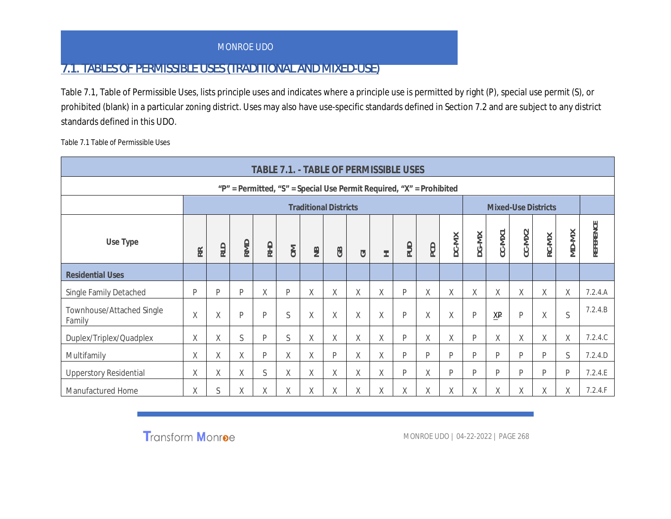## 7.1. TABLES OF PERMISSIBLE USES (TRADITIONAL AND MIXED-USE)

Table 7.1, Table of Permissible Uses, lists principle uses and indicates where a principle use is permitted by right (P), special use permit (S), or prohibited (blank) in a particular zoning district. Uses may also have use-specific standards defined in Section 7.2 and are subject to any district standards defined in this UDO.

Table 7.1 Table of Permissible Uses

|                                     |                                                                                                                                                                                                                                        |   |   |   |   |   |             | TABLE 7.1. - TABLE OF PERMISSIBLE USES                                           |   |   |   |   |   |        |   |             |           |         |
|-------------------------------------|----------------------------------------------------------------------------------------------------------------------------------------------------------------------------------------------------------------------------------------|---|---|---|---|---|-------------|----------------------------------------------------------------------------------|---|---|---|---|---|--------|---|-------------|-----------|---------|
|                                     |                                                                                                                                                                                                                                        |   |   |   |   |   |             | " $P'' =$ Permitted, " $S'' =$ Special Use Permit Required, " $X'' =$ Prohibited |   |   |   |   |   |        |   |             |           |         |
|                                     |                                                                                                                                                                                                                                        |   |   |   |   |   |             |                                                                                  |   |   |   |   |   |        |   |             |           |         |
| Use Type                            | <b>Mixed-Use Districts</b><br><b>Traditional Districts</b><br>$CC-MX2$<br>CC-MX1<br>DG-MX<br>DC-MX<br>RC-MX<br>RMD<br><b>RHD</b><br><b>QUd</b><br>PCD<br><b>RLD</b><br>$\geqslant$<br>$\equiv$<br>GB<br>RR.<br>$\overline{\circ}$<br>王 |   |   |   |   |   |             |                                                                                  |   |   |   |   |   |        |   | MD-MX       | REFERENCE |         |
| <b>Residential Uses</b>             |                                                                                                                                                                                                                                        |   |   |   |   |   |             |                                                                                  |   |   |   |   |   |        |   |             |           |         |
| Single Family Detached              | P                                                                                                                                                                                                                                      | P | P | Χ | P | Χ | $\mathsf X$ | $\mathsf X$                                                                      | Χ | P | Χ | Χ | Χ | $\chi$ | Χ | $\mathsf X$ | X         | 7.2.4.A |
| Townhouse/Attached Single<br>Family | Χ                                                                                                                                                                                                                                      | Χ | P | P | S | X | Χ           | Χ                                                                                | Χ | P | X | X | P | XP     | P | Χ           | S         | 7.2.4.B |
| Duplex/Triplex/Quadplex             | Χ                                                                                                                                                                                                                                      | X | S | P | S | Χ | Χ           | Χ                                                                                | X | P | Χ | X | P | Χ      | X | X           | Χ         | 7.2.4C  |
| Multifamily                         | Χ                                                                                                                                                                                                                                      | Χ | Χ | P | Χ | χ | P           | χ                                                                                | X | P | P | P | D | P      | P | P           | S         | 7.2.4.D |
| <b>Upperstory Residential</b>       | Χ                                                                                                                                                                                                                                      | X | Χ | S | Χ | X | χ           | χ                                                                                | Χ | P | X | P | D | D      | P | D           | P         | 7.2.4.E |
| Manufactured Home                   | X                                                                                                                                                                                                                                      | S | X | X | X | Χ | Χ           | Χ                                                                                | X | X | X | χ | χ | Χ      | X | χ           | X         | 7.2.4.F |

Transform Monroe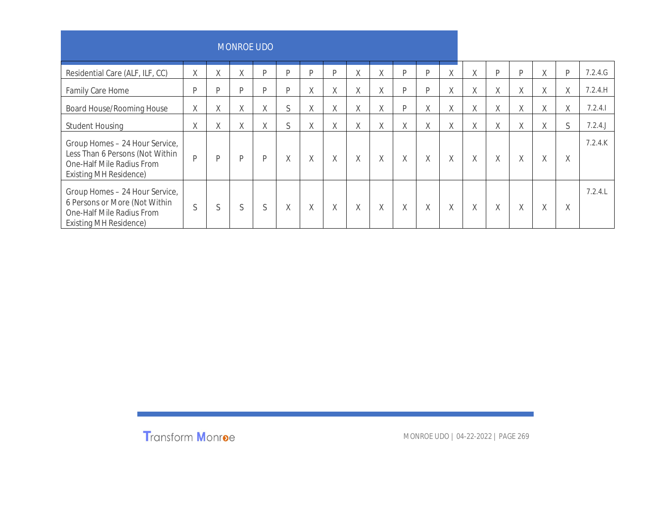|                                                                                                                                 |             |   | <b>MONROE UDO</b> |   |        |   |             |             |   |        |   |        |             |             |   |        |   |           |
|---------------------------------------------------------------------------------------------------------------------------------|-------------|---|-------------------|---|--------|---|-------------|-------------|---|--------|---|--------|-------------|-------------|---|--------|---|-----------|
| Residential Care (ALF, ILF, CC)                                                                                                 | $\mathsf X$ | Χ | Χ                 | P | D      | D | D           | $\mathsf X$ | X | P      | P | χ      | Χ           | P           | D | $\chi$ | P | 7.2.4.G   |
| Family Care Home                                                                                                                | P           | P | P                 | P | P      | Χ | χ           | X           | Χ | P      | P | χ      | X           | $\mathsf X$ | Χ | Χ      | Χ | 7.2.4.H   |
| Board House/Rooming House                                                                                                       | $\chi$      | Χ | Χ                 | X | S      | Χ | $\chi$      | $\times$    | Χ | P      | X | χ      | $\mathsf X$ | $\chi$      | Χ | X      | X | 7.2.4.1   |
| <b>Student Housing</b>                                                                                                          | Χ           | Χ | χ                 | X | S      | Χ | Χ           | Χ           | Χ | X      | Χ | Χ      | Χ           | Χ           | χ | Χ      | S | $7.2.4$ . |
| Group Homes - 24 Hour Service,<br>Less Than 6 Persons (Not Within<br>One-Half Mile Radius From<br><b>Existing MH Residence)</b> | D           | P | P                 | P | $\chi$ | Χ | $\chi$      | $\mathsf X$ | X | X      | X | X      | $\chi$      | X           | X | X      | Χ | 7.2.4K    |
| Group Homes - 24 Hour Service,<br>6 Persons or More (Not Within<br>One-Half Mile Radius From<br><b>Existing MH Residence)</b>   | S           | S | S                 | S | $\chi$ | Χ | $\mathsf X$ | Χ           | X | $\chi$ | X | $\chi$ | Χ           | $\chi$      | X | $\chi$ | Χ | 7.2.4L    |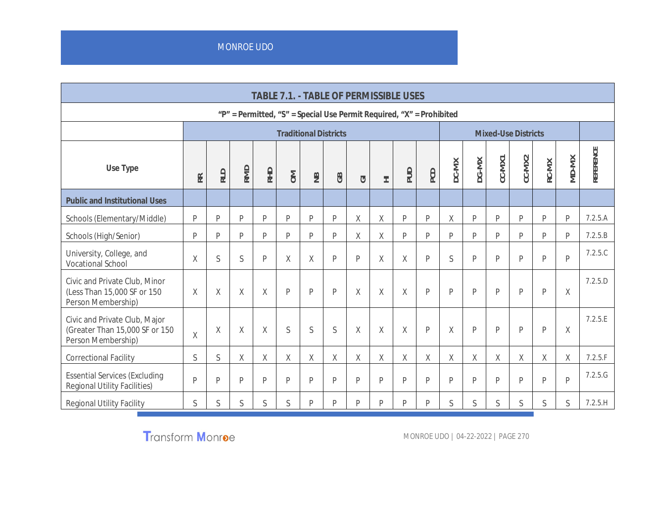**TABLE 7.1. - TABLE OF PERMISSIBLE USES "P" = Permitted, "S" = Special Use Permit Required, "X" = Prohibited Traditional Districts Mixed-Use Districts Use Type RRRLD RMDRHDOMNBGBGI HI**  $\frac{1}{2}$ **PCD DC-MX DG-MX CC-MX1 CC-MX 2RC-MX**  $\geq$ **D-MX REFEREN CE Public and Institutional Uses** Schools (Elementary/Middle) P P P P P P P X X P P X P P P P P 7.2.5.A Schools (High/Senior) P P P P P P P X X P P P P P P P P 7.2.5.B University, College, and University, Oonege, and the set of the set of the set of the set of the set of the set of the set of the set of<br>Vocational School the set of the set of the set of the set of the set of the set of the set of the set of the 7.2.5.C Civic and Private Club, Minor (Less Than 15,000 SF or 150 Person Membership) X X X X P P P X X X P P P P P P X 7.2.5.D Civic and Private Club, Major (Greater Than 15,000 SF or 150 exterminant 15,000 SF of 150<br>Person Membership) X X | X | X | S | S | X | X | X | P | X | P | P | P | P | X 7.2.5.E Correctional Facility S S X X X X X X X X X X X X X X X 7.2.5.F Essential Services (Excluding Regional Utility Facilities) <sup>P</sup> <sup>P</sup> <sup>P</sup> <sup>P</sup> <sup>P</sup> <sup>P</sup> <sup>P</sup> <sup>P</sup> <sup>P</sup> <sup>P</sup> <sup>P</sup> <sup>P</sup> <sup>P</sup> <sup>P</sup> <sup>P</sup> <sup>P</sup> <sup>P</sup> 7.2.5.G Regional Utility Facility S S S S S P P P P P P S S S S S S 7.2.5.H

**Transform Monroe**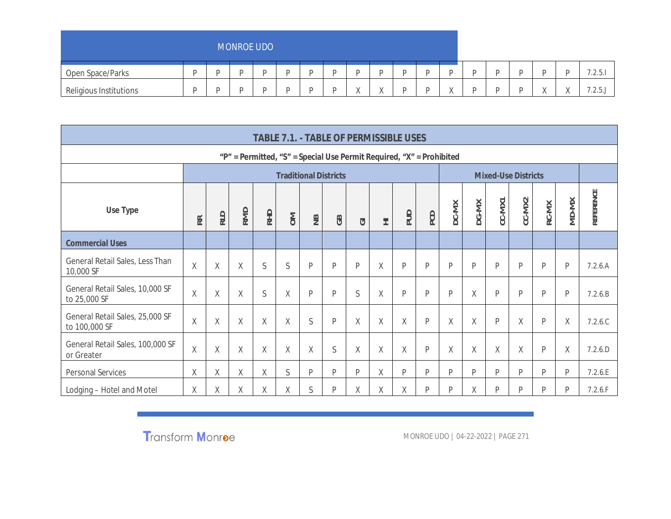|                        |   | <b>MONROE UDO</b> |  |          |           |  |          |  |           |         |
|------------------------|---|-------------------|--|----------|-----------|--|----------|--|-----------|---------|
| Open Space/Parks       | ┍ |                   |  |          | ∽         |  |          |  |           | 7.2.5.1 |
| Religious Institutions | D | -                 |  | $\cdots$ | $\lambda$ |  | $\cdots$ |  | $\lambda$ | 1.2.5.  |

|                                                  |        |                                                                                                                                                          |                                                                              |   | TABLE 7.1. - TABLE OF PERMISSIBLE USES |   |              |   |   |   |              |        |   |   |                            |   |       |           |
|--------------------------------------------------|--------|----------------------------------------------------------------------------------------------------------------------------------------------------------|------------------------------------------------------------------------------|---|----------------------------------------|---|--------------|---|---|---|--------------|--------|---|---|----------------------------|---|-------|-----------|
|                                                  |        |                                                                                                                                                          | " $P'' =$ Permitted, "S" = Special Use Permit Required, " $X'' =$ Prohibited |   |                                        |   |              |   |   |   |              |        |   |   |                            |   |       |           |
|                                                  |        |                                                                                                                                                          |                                                                              |   | <b>Traditional Districts</b>           |   |              |   |   |   |              |        |   |   | <b>Mixed-Use Districts</b> |   |       |           |
| Use Type                                         | RR     | $CC-N$ NZ<br>CC-MX1<br>DG-MX<br>DC-MX<br>RC-MX<br><b>RMD</b><br><b>QUP</b><br><b>RHD</b><br>PCD<br>RLD<br>$\geq$<br>$\cong$<br>GB<br>$\overline{C}$<br>三 |                                                                              |   |                                        |   |              |   |   |   |              |        |   |   |                            |   | MD-MX | REFERENCE |
| <b>Commercial Uses</b>                           |        |                                                                                                                                                          |                                                                              |   |                                        |   |              |   |   |   |              |        |   |   |                            |   |       |           |
| General Retail Sales, Less Than<br>10,000 SF     | Χ      | Χ                                                                                                                                                        | $\chi$                                                                       | S | S                                      | P | P            | P | X | P | P            | P      | P | P | $\mathsf{P}$               | P | P     | 7.2.6.A   |
| General Retail Sales, 10,000 SF<br>to 25,000 SF  | $\chi$ | Χ                                                                                                                                                        | Χ                                                                            | S | $\mathsf X$                            | P | $\mathsf{P}$ | S | Χ | P | P            | P      | X | P | P                          | P | P     | 7.2.6.B   |
| General Retail Sales, 25,000 SF<br>to 100,000 SF | X      | Χ                                                                                                                                                        | Χ                                                                            | X | X                                      | S | $\mathsf{P}$ | X | Χ | Χ | $\mathsf{P}$ | X      | X | P | X                          | P | Χ     | 7.2.6C    |
| General Retail Sales, 100,000 SF<br>or Greater   | X      | X                                                                                                                                                        | X                                                                            | X | X                                      | X | S            | X | X | Χ | P            | $\chi$ | X | X | X                          | P | X     | 7.2.6.D   |
| Personal Services                                | χ      | Χ                                                                                                                                                        | Χ                                                                            | X | S                                      | P | P            | P | χ | P | P            | P      | P | P | P                          | P | P     | 7.2.6.E   |
| Lodging - Hotel and Motel                        | χ      | Χ                                                                                                                                                        | χ                                                                            | X | X                                      | S | P            | X | X | Χ | P            | P      | X | P | P                          | D | D     | 7.2.6.F   |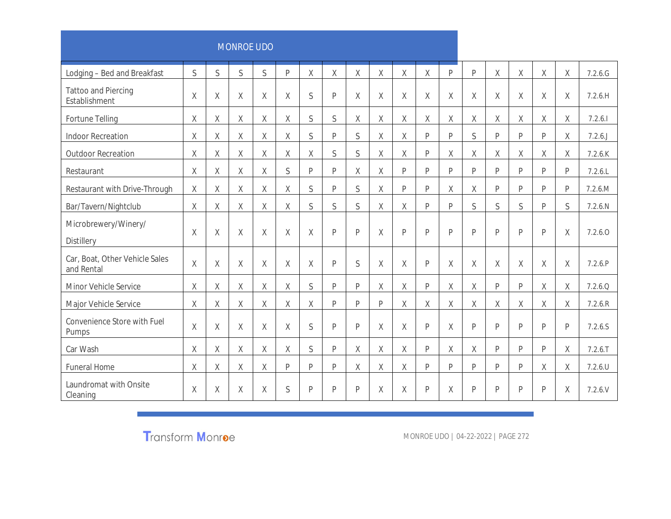|                                              |              |              | <b>MONROE UDO</b> |              |             |              |              |              |         |                |              |              |              |                |              |                |   |               |
|----------------------------------------------|--------------|--------------|-------------------|--------------|-------------|--------------|--------------|--------------|---------|----------------|--------------|--------------|--------------|----------------|--------------|----------------|---|---------------|
| Lodging - Bed and Breakfast                  | $\mathsf{S}$ | $\mathsf{S}$ | $\mathsf{S}$      | $\mathsf{S}$ | P           | $\chi$       | $\sf X$      | $\chi$       | $\chi$  | $\overline{X}$ | $\chi$       | $\mathsf{P}$ | $\mathsf{P}$ | $\overline{X}$ | $\mathsf X$  | $\mathsf X$    | Χ | 7.2.6. G      |
| <b>Tattoo and Piercing</b><br>Establishment  | $\mathsf X$  | Χ            | Χ                 | $\mathsf X$  | $\mathsf X$ | S            | $\mathsf{P}$ | $\chi$       | Χ       | Χ              | $\mathsf X$  | Χ            | $\chi$       | $\mathsf X$    | $\mathsf X$  | $\mathsf X$    | X | 7.2.6.H       |
| Fortune Telling                              | Χ            | Χ            | $\chi$            | $\mathsf X$  | $\mathsf X$ | S            | S            | $\mathsf X$  | Χ       | χ              | X            | $\chi$       | $\chi$       | $\mathsf X$    | $\mathsf X$  | $\chi$         | Χ | 7.2.6.1       |
| <b>Indoor Recreation</b>                     | X            | Χ            | X                 | Χ            | X           | S            | $\mathsf{P}$ | S            | X       | χ              | P            | P            | S            | P              | P            | $\mathsf{P}$   | Χ | 7.2.6.        |
| <b>Outdoor Recreation</b>                    | Χ            | Χ            | $\mathsf X$       | Χ            | Χ           | Χ            | S            | S            | Χ       | Χ              | P            | Χ            | χ            | Χ              | Χ            | X              | Χ | $7.2.6$ . $K$ |
| Restaurant                                   | Χ            | Χ            | X                 | $\mathsf X$  | $\mathsf S$ | P            | P            | $\sf X$      | Χ       | P              | P            | P            | P            | P              | P            | $\mathsf{P}$   | P | 7.2.6L        |
| Restaurant with Drive-Through                | Χ            | Χ            | X                 | Χ            | Χ           | S            | $\mathsf{P}$ | S            | Χ       | P              | P            | X            | X            | P              | $\mathsf{P}$ | P              | P | 7.2.6.M       |
| Bar/Tavern/Nightclub                         | Χ            | Χ            | $\chi$            | $\mathsf X$  | $\mathsf X$ | $\mathsf S$  | S            | $\mathsf{S}$ | Χ       | χ              | $\mathsf{P}$ | P            | S            | S              | S            | $\overline{P}$ | S | 7.2.6 N       |
| Microbrewery/Winery/<br><b>Distillery</b>    | X            | X            | $\chi$            | $\chi$       | $\chi$      | $\chi$       | $\mathsf{P}$ | P            | $\chi$  | P              | P            | P            | P            | P              | $\mathsf{P}$ | P              | X | 7.2.6.0       |
| Car, Boat, Other Vehicle Sales<br>and Rental | Χ            | Χ            | $\mathsf X$       | $\sf X$      | $\mathsf X$ | $\chi$       | $\mathsf{P}$ | $\mathsf S$  | Χ       | Χ              | $\mathsf{P}$ | $\mathsf X$  | $\chi$       | $\mathsf X$    | $\mathsf X$  | $\mathsf X$    | Χ | 7.2.6 P       |
| Minor Vehicle Service                        | Χ            | Χ            | $\chi$            | Χ            | $\mathsf X$ | S            | $\mathsf{P}$ | P            | Χ       | χ              | P            | Χ            | X            | P              | P            | Χ              | Χ | 7.2.6.0       |
| Major Vehicle Service                        | Χ            | X            | $\chi$            | $\chi$       | $\mathsf X$ | $\mathsf X$  | $\mathsf{P}$ | P            | P       | χ              | X            | Χ            | $\chi$       | $\mathsf X$    | $\mathsf X$  | $\mathsf X$    | Χ | 7.2.6 R       |
| Convenience Store with Fuel<br>Pumps         | X            | Χ            | X                 | χ            | X           | S            | $\mathsf{P}$ | P            | Χ       | Χ              | $\mathsf{P}$ | Χ            | $\mathsf{P}$ | P              | $\mathsf{P}$ | $\mathsf{P}$   | P | 7.2.6.S       |
| Car Wash                                     | $\chi$       | Χ            | $\mathsf X$       | $\mathsf X$  | $\chi$      | $\mathsf{S}$ | $\mathsf{p}$ | $\sf X$      | $\sf X$ | Χ              | P            | Χ            | $\chi$       | P              | $\mathsf{P}$ | P              | Χ | $7.2.6.$ T    |
| <b>Funeral Home</b>                          | Χ            | Χ            | $\mathsf X$       | Χ            | P           | P            | $\mathsf{P}$ | $\sf X$      | Χ       | Χ              | P            | P            | $\mathsf{P}$ | P              | P            | $\mathsf X$    | Χ | $7.2.6$ .U    |
| Laundromat with Onsite<br>Cleaning           | Χ            | Χ            | Χ                 | Χ            | S           | $\mathsf{P}$ | $\mathsf{P}$ | P            | X       | χ              | P            | Χ            | $\mathsf{P}$ | $\mathsf P$    | $\mathsf{P}$ | $\mathsf{P}$   | Χ | 7.2.6V        |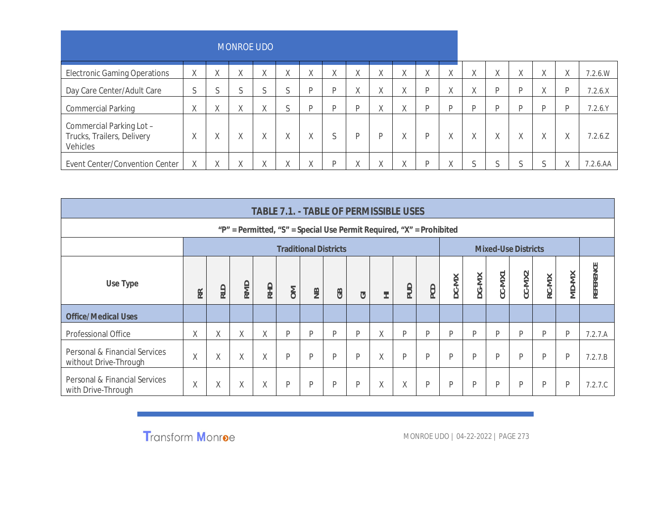|                                                                    |                       |                       | <b>MONROE UDO</b>        |                           |             |                    |              |                            |                       |                       |                |                           |        |        |                    |                        |                   |          |
|--------------------------------------------------------------------|-----------------------|-----------------------|--------------------------|---------------------------|-------------|--------------------|--------------|----------------------------|-----------------------|-----------------------|----------------|---------------------------|--------|--------|--------------------|------------------------|-------------------|----------|
| <b>Electronic Gaming Operations</b>                                | $\vee$<br>Λ           | Λ                     | $\sqrt{}$<br>$\wedge$    | $\mathcal{U}$<br>Λ        | Χ           | $\vee$<br>$\wedge$ | Χ            | $\vee$<br>$\Lambda$        | $\checkmark$<br>Λ     | $\vee$<br>$\wedge$    | $\sqrt{}$<br>Λ | $\mathcal{U}$<br>$\wedge$ | Χ      | Λ      | Χ                  | $\sqrt{ }$<br>$\wedge$ | χ                 | 7.2.6.W  |
| Day Care Center/Adult Care                                         | $\sim$<br>C           |                       | $\sim$                   |                           | $\sim$<br>S | D                  | <sup>D</sup> | $\mathcal{U}$<br>$\Lambda$ | $\mathcal{U}$<br>Λ    | $\sqrt{}$<br>∧        | D              | χ                         | χ      | D      | D                  | $\sqrt{ }$<br>Λ        | D                 | 7.2.6.X  |
| <b>Commercial Parking</b>                                          | $\sqrt{}$<br>$\wedge$ | $\sqrt{}$<br>$\wedge$ | $\sqrt{}$<br>Λ           | $\mathcal{U}$<br>$\wedge$ | $\sim$<br>ς | D                  | D            | D                          | $\sqrt{}$<br>$\wedge$ | $\sqrt{}$<br>$\wedge$ | D              | D                         | D      | D.     | D                  | D                      | D                 | 7.2.6 Y  |
| Commercial Parking Lot -<br>Trucks, Trailers, Delivery<br>Vehicles | $\wedge$              | Λ                     | $\sqrt{}$<br>Λ           | $\vee$<br>$\wedge$        | Χ           | χ                  | S            | D                          | D                     | $\vee$<br>$\wedge$    | D              | $\vee$<br>$\Lambda$       | Χ      | Χ      | $\vee$<br>$\wedge$ | $\sqrt{ }$<br>$\wedge$ | Χ                 | 7.2.6 Z  |
| Event Center/Convention Center                                     | Χ                     |                       | $\sqrt{ }$<br>$\sqrt{ }$ | $\sqrt{ }$<br>∧           | Χ           |                    | D            | $\sqrt{ }$<br>$\Lambda$    | Λ                     | $\sqrt{}$<br>Λ        | D              | $\sqrt{ }$<br>Λ           | $\sim$ | $\sim$ | $\sim$             |                        | $\checkmark$<br>Λ | 7.2.6.AA |

|                                                        |         |                                                                                                                                                                                                                      |                                                                          |   |   | TABLE 7.1. - TABLE OF PERMISSIBLE USES |   |   |   |   |   |   |   |   |   |   |       |           |
|--------------------------------------------------------|---------|----------------------------------------------------------------------------------------------------------------------------------------------------------------------------------------------------------------------|--------------------------------------------------------------------------|---|---|----------------------------------------|---|---|---|---|---|---|---|---|---|---|-------|-----------|
|                                                        |         |                                                                                                                                                                                                                      | " $P'' =$ Permitted, "S" = Special Use Permit Required, "X" = Prohibited |   |   |                                        |   |   |   |   |   |   |   |   |   |   |       |           |
|                                                        |         |                                                                                                                                                                                                                      |                                                                          |   |   |                                        |   |   |   |   |   |   |   |   |   |   |       |           |
| Use Type                                               | RR<br>R | <b>Traditional Districts</b><br><b>Mixed-Use Districts</b><br>CC-MX2<br>CC-MX1<br>DG-MX<br>DC-MX<br>RC-MX<br>RMD<br>RHD<br><b>DUP</b><br>PCD<br><b>RLD</b><br>$\geq$<br>$\tilde{z}$<br>GB<br>$\overline{\circ}$<br>田 |                                                                          |   |   |                                        |   |   |   |   |   |   |   |   |   |   | MD-MX | REFERENCE |
| <b>Office/Medical Uses</b>                             |         |                                                                                                                                                                                                                      |                                                                          |   |   |                                        |   |   |   |   |   |   |   |   |   |   |       |           |
| <b>Professional Office</b>                             | Χ       | X                                                                                                                                                                                                                    | X                                                                        | X | P | D                                      | D | D | X | P | P | D | D | D | D | D | P     | 7.2.7.A   |
| Personal & Financial Services<br>without Drive-Through | X       | χ                                                                                                                                                                                                                    | Χ                                                                        | Χ | P | D                                      | D | P | Χ | P | P | P | P | D | P | P | P     | 7.2.7.B   |
| Personal & Financial Services<br>with Drive-Through    | X       | Χ                                                                                                                                                                                                                    | Χ                                                                        | Χ | P | D                                      | D | P | Χ | Χ | P | P | P | D | P | P | P     | 7.2.7.C   |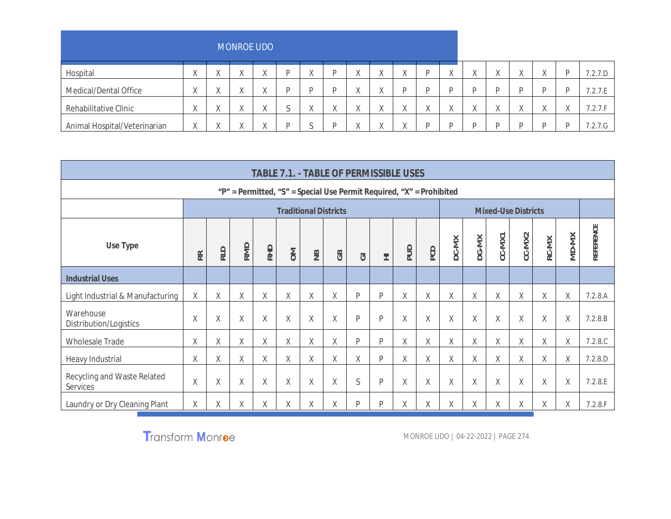|                              |                         |           | <b>MONROE UDO</b>  |           |              |           |                         |                       |           |           |           |            |           |                   |          |           |         |
|------------------------------|-------------------------|-----------|--------------------|-----------|--------------|-----------|-------------------------|-----------------------|-----------|-----------|-----------|------------|-----------|-------------------|----------|-----------|---------|
| Hospital                     | $\sqrt{ }$<br>$\lambda$ | $\lambda$ | $\mathcal{U}$<br>Λ | $\Lambda$ | D            | $\lambda$ | $\sqrt{ }$<br>$\wedge$  | $\lambda$<br>$\wedge$ | $\Lambda$ | D         | $\Lambda$ | $\sqrt{ }$ | $\lambda$ | $\Lambda$         | $\wedge$ | D         | 7.2.7.D |
| Medical/Dental Office        | $\lambda$               | $\lambda$ | $\wedge$           | $\Lambda$ | D            |           | $\sqrt{}$<br>$\sqrt{ }$ | $\lambda$             |           | D         |           |            | D         | D                 |          | D         | 7.2.7.E |
| Rehabilitative Clinic        | $\lambda$               | $\lambda$ | Λ                  |           | $\sim$<br>J. | $\lambda$ | $\sqrt{ }$<br>$\wedge$  |                       | Λ         | $\lambda$ | Λ         |            | $\cdots$  | $\mathbf{A}$<br>Λ | Λ        | $\lambda$ | 7.2.7.F |
| Animal Hospital/Veterinarian | $\sqrt{ }$              |           | $\sqrt{}$<br>Λ     |           | D            |           | $\mathcal{L}$           | $\lambda$             |           | D         |           |            | D         |                   | D        | D         | 7.2.7.G |

|                                         |        |     |     |        |             | TABLE 7.1. - TABLE OF PERMISSIBLE USES                               |        |                    |   |            |        |        |        |        |                            |        |       |           |
|-----------------------------------------|--------|-----|-----|--------|-------------|----------------------------------------------------------------------|--------|--------------------|---|------------|--------|--------|--------|--------|----------------------------|--------|-------|-----------|
|                                         |        |     |     |        |             | "P" = Permitted, "S" = Special Use Permit Required, "X" = Prohibited |        |                    |   |            |        |        |        |        |                            |        |       |           |
|                                         |        |     |     |        |             | <b>Traditional Districts</b>                                         |        |                    |   |            |        |        |        |        | <b>Mixed-Use Districts</b> |        |       |           |
| Use Type                                | RR.    | RLD | RMD | RHD    | $\geqslant$ | $\cong$                                                              | GB     | $\overline{\circ}$ | 三 | <b>PUD</b> | PCD    | DC-MX  | DG-MX  | CC-MX1 | CC-MX2                     | RC-MX  | MD-MX | REFERENCE |
| <b>Industrial Uses</b>                  |        |     |     |        |             |                                                                      |        |                    |   |            |        |        |        |        |                            |        |       |           |
| Light Industrial & Manufacturing        | Χ      | χ   | Χ   | Χ      | Χ           | Χ                                                                    | Χ      | P                  | P | Χ          | Χ      | Χ      | Χ      | Χ      | Χ                          | Χ      | Χ     | 7.2.8.A   |
| Warehouse<br>Distribution/Logistics     | Χ      | Χ   | Χ   | $\chi$ | $\sf X$     | X                                                                    | $\chi$ | $\mathsf{P}$       | P | Χ          | $\chi$ | $\chi$ | $\chi$ | $\chi$ | Χ                          | $\chi$ | Χ     | 7.2.8.B   |
| <b>Wholesale Trade</b>                  | Χ      | Χ   | Χ   | Χ      | Χ           | Χ                                                                    | Χ      | P                  | P | Χ          | X      | Χ      | Χ      | Χ      | Χ                          | χ      | Χ     | 7.2.8C    |
| Heavy Industrial                        | Χ      | Χ   | Χ   | Χ      | Χ           | Χ                                                                    | Χ      | Χ                  | P | Χ          | Χ      | Χ      | Χ      | Χ      | Χ                          | χ      | Χ     | 7.2.8.D   |
| Recycling and Waste Related<br>Services | $\chi$ | χ   | χ   | Χ      | Χ           | Χ                                                                    | Χ      | S                  | P | Χ          | Χ      | X      | X      | Χ      | Χ                          | X      | Χ     | 7.2.8.E   |
| Laundry or Dry Cleaning Plant           | Χ      | χ   | Χ   | Χ      | Χ           | Χ                                                                    | Χ      | P                  | P | Χ          | Χ      | χ      | Χ      | χ      | Χ                          | Χ      | χ     | 7.2.8.F   |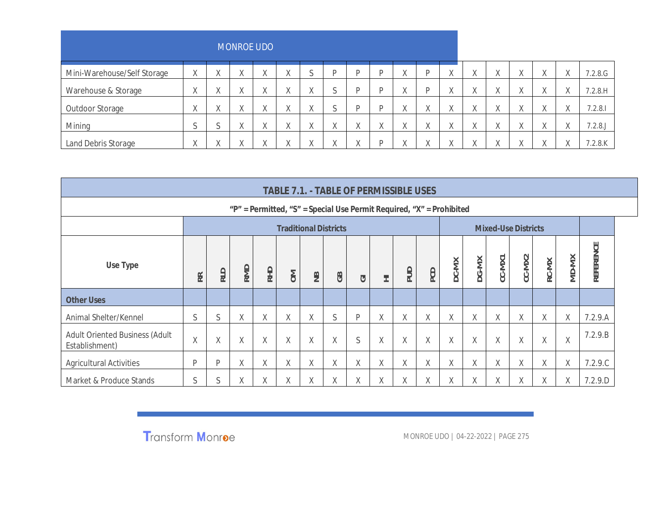|                             |                 |            | <b>MONROE UDO</b>         |                       |                    |              |                    |   |                |                        |                         |              |                    |                           |                    |           |                     |            |
|-----------------------------|-----------------|------------|---------------------------|-----------------------|--------------------|--------------|--------------------|---|----------------|------------------------|-------------------------|--------------|--------------------|---------------------------|--------------------|-----------|---------------------|------------|
| Mini-Warehouse/Self Storage | $\vee$<br>Λ.    | $\sqrt{ }$ | $\mathcal{U}$<br>$\wedge$ | $\vee$<br>$\wedge$    | Χ                  | $\sim$<br>.) | D                  | D |                | $\sqrt{}$<br>Λ         |                         | X            | $\Lambda$          | $\mathcal{U}$<br>$\wedge$ |                    | $\Lambda$ | Λ.                  | 7.2.8.G    |
| Warehouse & Storage         | $\sqrt{}$<br>A. | $\lambda$  | $\mathcal{U}$<br>Λ        | $\lambda$<br>$\wedge$ | $\vee$<br>v.       | $\wedge$     | $\sim$<br>×.       | D | D              | $\sqrt{ }$<br>$\wedge$ |                         | $\vee$<br>Y. | $\Lambda$          | $\mathcal{U}$<br>Λ        | $\mathcal{L}$<br>Λ | Λ         | $\mathcal{U}$<br>Λ. | 7.2.8.H    |
| Outdoor Storage             | Λ               | $\lambda$  | $\mathcal{U}$<br>Λ        | $\lambda$<br>$\wedge$ | $\vee$<br>Λ        | $\wedge$     | $\sim$<br>×.       | D | D              | $\sqrt{}$<br>Λ         | $\sqrt{ }$<br>Λ         | χ            | $\mathcal{U}$<br>∧ | $\mathcal{U}$<br>$\wedge$ | $\lambda$          | Λ         | $\sqrt{}$<br>Λ.     | 7.2.8.1    |
| Mining                      | ⌒               | <b>A</b>   | $\mathcal{U}$<br>Λ        | $\lambda$<br>Λ        | $\vee$<br>$\wedge$ | $\wedge$     | $\mathcal{U}$<br>Λ | Λ | $\sqrt{}$<br>Λ | $\sqrt{}$<br>$\wedge$  | $\sqrt{ }$<br>$\Lambda$ | $\vee$<br>Λ  | ∧                  | $\mathcal{U}$<br>$\wedge$ | $\sqrt{ }$         | Λ         | $\vee$<br>Λ         | 7.2.8      |
| Land Debris Storage         | Λ.              |            | $\lambda$                 | $\lambda$             |                    |              | $\mathcal{U}$      |   | D              | $\sqrt{}$<br>୵៶        |                         | Λ            |                    | $\sqrt{}$                 |                    |           | $\sqrt{}$           | $7.2.8$ .K |

|                                                         |        |                                                                                                                                                                     |   |   |   |                              |          |   |   | TABLE 7.1. - TABLE OF PERMISSIBLE USES                                       |        |   |   |                            |   |   |        |           |
|---------------------------------------------------------|--------|---------------------------------------------------------------------------------------------------------------------------------------------------------------------|---|---|---|------------------------------|----------|---|---|------------------------------------------------------------------------------|--------|---|---|----------------------------|---|---|--------|-----------|
|                                                         |        |                                                                                                                                                                     |   |   |   |                              |          |   |   | " $P'' =$ Permitted, "S" = Special Use Permit Required, " $X'' =$ Prohibited |        |   |   |                            |   |   |        |           |
|                                                         |        |                                                                                                                                                                     |   |   |   | <b>Traditional Districts</b> |          |   |   |                                                                              |        |   |   | <b>Mixed-Use Districts</b> |   |   |        |           |
| Use Type                                                | RR     | $CC-N$ NZ<br>CC-MX1<br>DG-MX<br>RC-MX<br>DC-MX<br>RMD<br><b>RHD</b><br><b>PUD</b><br>PCD<br><b>RLD</b><br>$\geq$<br>$\overline{B}$<br>GB<br>$\overline{\circ}$<br>三 |   |   |   |                              |          |   |   |                                                                              |        |   |   |                            |   |   | MD-MX  | REFERENCE |
| <b>Other Uses</b>                                       |        |                                                                                                                                                                     |   |   |   |                              |          |   |   |                                                                              |        |   |   |                            |   |   |        |           |
| Animal Shelter/Kennel                                   | S      | S                                                                                                                                                                   | Χ | Χ | Χ | Χ                            | S        | P | X | χ                                                                            | χ      | χ | X | χ                          | χ | Χ | X      | 7.2.9.A   |
| <b>Adult Oriented Business (Adult</b><br>Establishment) | $\chi$ | Χ                                                                                                                                                                   | Χ | X | X | Χ                            | $\times$ | S | X | X                                                                            | $\chi$ | X | X | $\chi$                     | Χ | Χ | $\chi$ | 7.2.9.B   |
| <b>Agricultural Activities</b>                          | P      | P                                                                                                                                                                   | Χ | χ | Χ | Χ                            | Χ        | χ | Χ | χ                                                                            | Χ      | χ | Χ | χ                          | Χ | Χ | χ      | 7.2.9C    |
| Market & Produce Stands                                 | S      | S                                                                                                                                                                   | X | Χ | Χ | X                            | X        | X | X | X                                                                            | X      | χ | X | X                          | χ | χ | Χ      | 7.2.9.D   |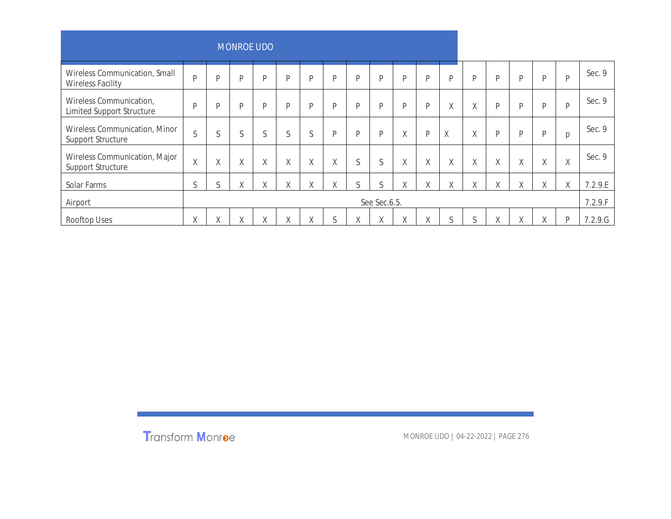|                                                             |                         |                   | <b>MONROE UDO</b> |   |        |   |        |   |              |   |   |        |   |   |   |        |   |         |
|-------------------------------------------------------------|-------------------------|-------------------|-------------------|---|--------|---|--------|---|--------------|---|---|--------|---|---|---|--------|---|---------|
| Wireless Communication, Small<br><b>Wireless Facility</b>   | D                       | D                 | P                 | P | P      | P | D      | D | P            | P | P | P      | D | D | P | P      | P | Sec. 9  |
| Wireless Communication,<br><b>Limited Support Structure</b> | D                       | D                 | P                 | P | P      | P | D      | D | P            | P | D | Χ      | Χ | D | P | D      | P | Sec. 9  |
| Wireless Communication, Minor<br>Support Structure          | $\sim$<br>$\mathcal{L}$ | S                 | S                 | S | S      | S | D      | D | $\mathsf{P}$ | Χ | P | χ      | Χ | D | P | P      | p | Sec. 9  |
| Wireless Communication, Major<br>Support Structure          | $\mathsf X$             | $\vee$<br>A       | $\mathsf X$       | Χ | $\chi$ | Χ | Χ      | S | S            | Χ | X | $\chi$ | Χ | Χ | Χ | Χ      | Χ | Sec. 9  |
| Solar Farms                                                 | S                       | S                 | χ                 | Χ | Χ      | X | Χ      | S | S            | Χ | X | Χ      | Χ | χ | Χ | X      | Χ | 7.2.9.E |
| Airport                                                     |                         |                   |                   |   |        |   |        |   | See Sec.6.5. |   |   |        |   |   |   |        |   | 7.2.9.F |
| Rooftop Uses                                                | Χ                       | $\checkmark$<br>Λ | X                 | X | X      | X | $\sim$ | Χ | X            | Χ | χ | S      | S | Χ | Χ | $\chi$ | P | 7.2.9.G |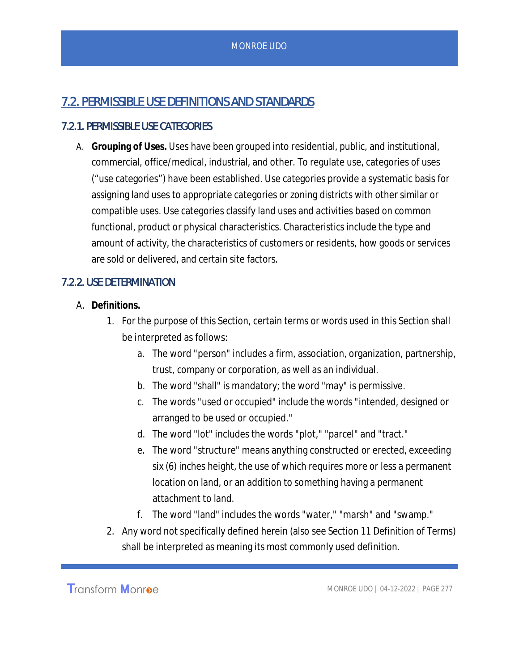# 7.2. PERMISSIBLE USE DEFINITIONS AND STANDARDS

## 7.2.1. PERMISSIBLE USE CATEGORIES

A. **Grouping of Uses.** Uses have been grouped into residential, public, and institutional, commercial, office/medical, industrial, and other. To regulate use, categories of uses ("use categories") have been established. Use categories provide a systematic basis for assigning land uses to appropriate categories or zoning districts with other similar or compatible uses. Use categories classify land uses and activities based on common functional, product or physical characteristics. Characteristics include the type and amount of activity, the characteristics of customers or residents, how goods or services are sold or delivered, and certain site factors.

## 7.2.2. USE DETERMINATION

- A. **Definitions.**
	- 1. For the purpose of this Section, certain terms or words used in this Section shall be interpreted as follows:
		- a. The word "person" includes a firm, association, organization, partnership, trust, company or corporation, as well as an individual.
		- b. The word "shall" is mandatory; the word "may" is permissive.
		- c. The words "used or occupied" include the words "intended, designed or arranged to be used or occupied."
		- d. The word "lot" includes the words "plot," "parcel" and "tract."
		- e. The word "structure" means anything constructed or erected, exceeding six (6) inches height, the use of which requires more or less a permanent location on land, or an addition to something having a permanent attachment to land.
		- f. The word "land" includes the words "water," "marsh" and "swamp."
	- 2. Any word not specifically defined herein (also see Section 11 Definition of Terms) shall be interpreted as meaning its most commonly used definition.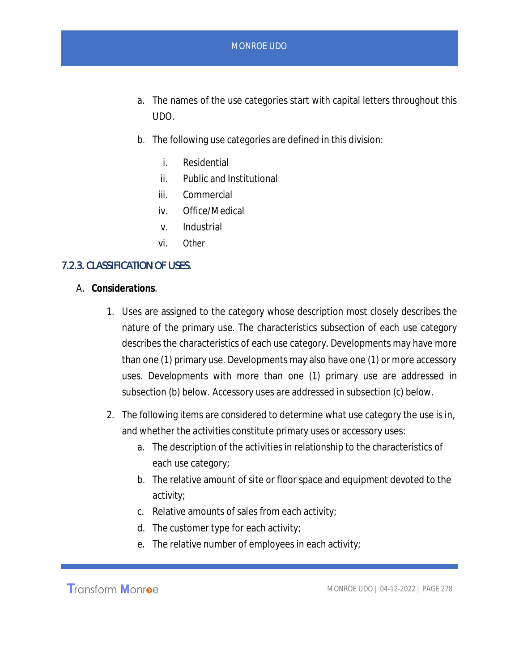- a. The names of the use categories start with capital letters throughout this UDO.
- b. The following use categories are defined in this division:
	- i. Residential
	- ii. Public and Institutional
	- iii. Commercial
	- iv. Office/Medical
	- v. Industrial
	- vi. Other

#### 7.2.3. CLASSIFICATION OF USES.

- A. **Considerations**.
	- 1. Uses are assigned to the category whose description most closely describes the nature of the primary use. The characteristics subsection of each use category describes the characteristics of each use category. Developments may have more than one (1) primary use. Developments may also have one (1) or more accessory uses. Developments with more than one (1) primary use are addressed in subsection (b) below. Accessory uses are addressed in subsection (c) below.
	- 2. The following items are considered to determine what use category the use is in, and whether the activities constitute primary uses or accessory uses:
		- a. The description of the activities in relationship to the characteristics of each use category;
		- b. The relative amount of site or floor space and equipment devoted to the activity;
		- c. Relative amounts of sales from each activity;
		- d. The customer type for each activity;
		- e. The relative number of employees in each activity;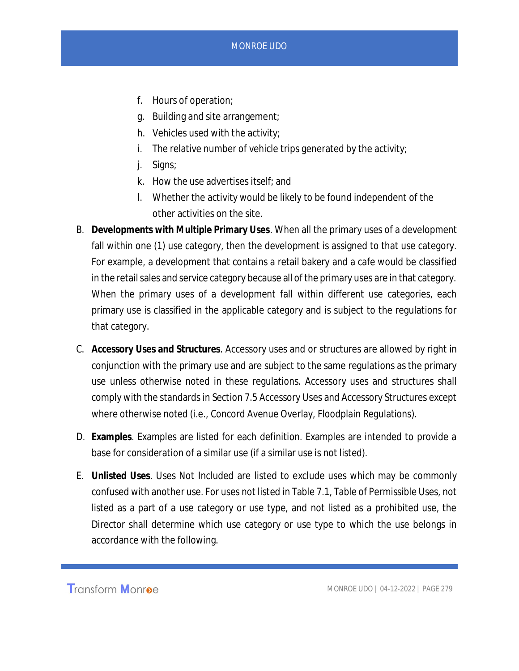- f. Hours of operation;
- g. Building and site arrangement;
- h. Vehicles used with the activity;
- i. The relative number of vehicle trips generated by the activity;
- j. Signs;
- k. How the use advertises itself; and
- l. Whether the activity would be likely to be found independent of the other activities on the site.
- B. **Developments with Multiple Primary Uses***.* When all the primary uses of a development fall within one (1) use category, then the development is assigned to that use category. For example, a development that contains a retail bakery and a cafe would be classified in the retail sales and service category because all of the primary uses are in that category. When the primary uses of a development fall within different use categories, each primary use is classified in the applicable category and is subject to the regulations for that category.
- C. **Accessory Uses and Structures***.* Accessory uses and or structures are allowed by right in conjunction with the primary use and are subject to the same regulations as the primary use unless otherwise noted in these regulations. Accessory uses and structures shall comply with the standards in Section 7.5 Accessory Uses and Accessory Structures except where otherwise noted (i.e., Concord Avenue Overlay, Floodplain Regulations).
- D. **Examples**. Examples are listed for each definition. Examples are intended to provide a base for consideration of a similar use (if a similar use is not listed).
- E. **Unlisted Uses**. Uses Not Included are listed to exclude uses which may be commonly confused with another use. For uses not listed in Table 7.1, Table of Permissible Uses, not listed as a part of a use category or use type, and not listed as a prohibited use, the Director shall determine which use category or use type to which the use belongs in accordance with the following.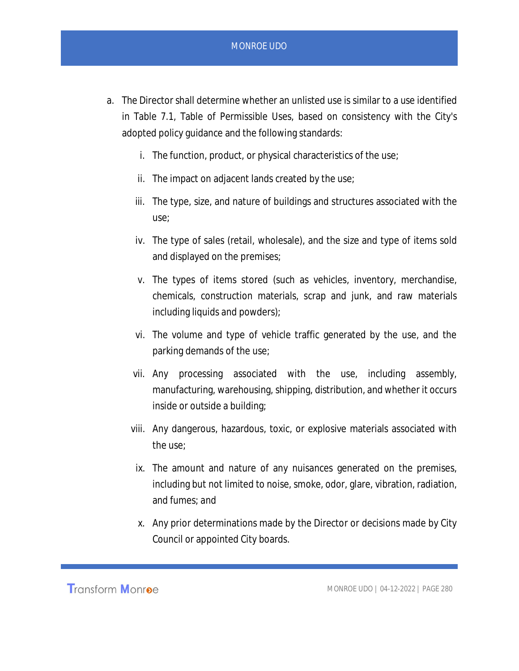- a. The Director shall determine whether an unlisted use is similar to a use identified in Table 7.1, Table of Permissible Uses, based on consistency with the City's adopted policy guidance and the following standards:
	- i. The function, product, or physical characteristics of the use;
	- ii. The impact on adjacent lands created by the use;
	- iii. The type, size, and nature of buildings and structures associated with the use;
	- iv. The type of sales (retail, wholesale), and the size and type of items sold and displayed on the premises;
	- v. The types of items stored (such as vehicles, inventory, merchandise, chemicals, construction materials, scrap and junk, and raw materials including liquids and powders);
	- vi. The volume and type of vehicle traffic generated by the use, and the parking demands of the use;
	- vii. Any processing associated with the use, including assembly, manufacturing, warehousing, shipping, distribution, and whether it occurs inside or outside a building;
	- viii. Any dangerous, hazardous, toxic, or explosive materials associated with the use;
	- ix. The amount and nature of any nuisances generated on the premises, including but not limited to noise, smoke, odor, glare, vibration, radiation, and fumes; and
	- x. Any prior determinations made by the Director or decisions made by City Council or appointed City boards.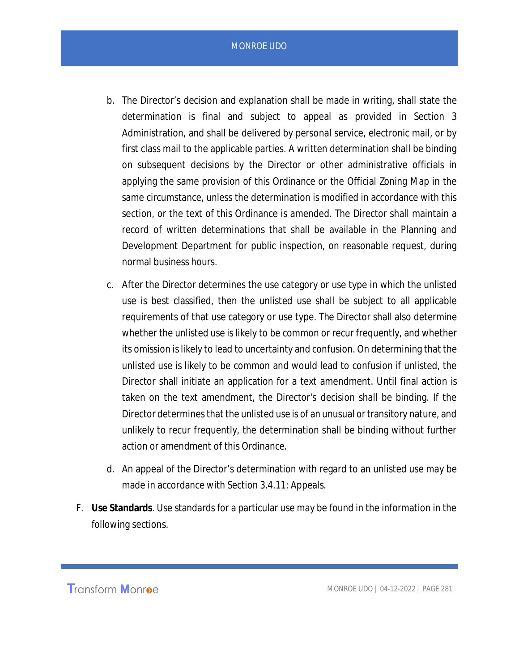- b. The Director's decision and explanation shall be made in writing, shall state the determination is final and subject to appeal as provided in Section 3 Administration, and shall be delivered by personal service, electronic mail, or by first class mail to the applicable parties. A written determination shall be binding on subsequent decisions by the Director or other administrative officials in applying the same provision of this Ordinance or the Official Zoning Map in the same circumstance, unless the determination is modified in accordance with this section, or the text of this Ordinance is amended. The Director shall maintain a record of written determinations that shall be available in the Planning and Development Department for public inspection, on reasonable request, during normal business hours.
- c. After the Director determines the use category or use type in which the unlisted use is best classified, then the unlisted use shall be subject to all applicable requirements of that use category or use type. The Director shall also determine whether the unlisted use is likely to be common or recur frequently, and whether its omission is likely to lead to uncertainty and confusion. On determining that the unlisted use is likely to be common and would lead to confusion if unlisted, the Director shall initiate an application for a text amendment. Until final action is taken on the text amendment, the Director's decision shall be binding. If the Director determines that the unlisted use is of an unusual or transitory nature, and unlikely to recur frequently, the determination shall be binding without further action or amendment of this Ordinance.
- d. An appeal of the Director's determination with regard to an unlisted use may be made in accordance with Section 3.4.11: Appeals.
- F. **Use Standards**. Use standards for a particular use may be found in the information in the following sections.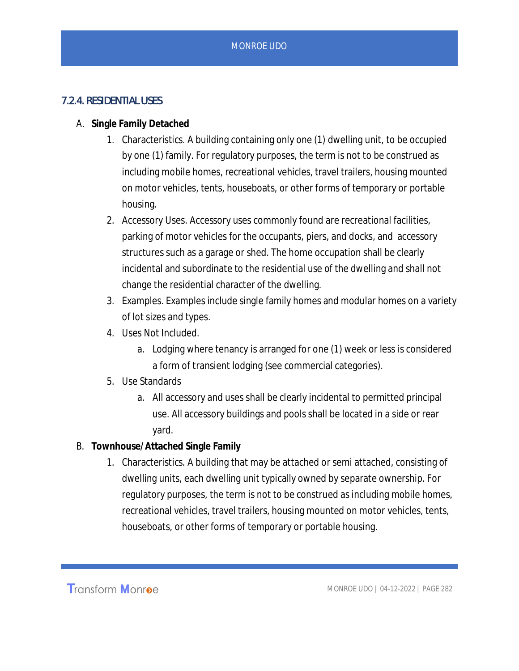## 7.2.4. RESIDENTIAL USES

- A. **Single Family Detached**
	- 1. Characteristics. A building containing only one (1) dwelling unit, to be occupied by one (1) family. For regulatory purposes, the term is not to be construed as including mobile homes, recreational vehicles, travel trailers, housing mounted on motor vehicles, tents, houseboats, or other forms of temporary or portable housing.
	- 2. Accessory Uses. Accessory uses commonly found are recreational facilities, parking of motor vehicles for the occupants, piers, and docks, and accessory structures such as a garage or shed. The home occupation shall be clearly incidental and subordinate to the residential use of the dwelling and shall not change the residential character of the dwelling.
	- 3. Examples. Examples include single family homes and modular homes on a variety of lot sizes and types.
	- 4. Uses Not Included.
		- a. Lodging where tenancy is arranged for one (1) week or less is considered a form of transient lodging (see commercial categories).
	- 5. Use Standards
		- a. All accessory and uses shall be clearly incidental to permitted principal use. All accessory buildings and pools shall be located in a side or rear yard.
- B. **Townhouse/Attached Single Family**
	- 1. Characteristics. A building that may be attached or semi attached, consisting of dwelling units, each dwelling unit typically owned by separate ownership. For regulatory purposes, the term is not to be construed as including mobile homes, recreational vehicles, travel trailers, housing mounted on motor vehicles, tents, houseboats, or other forms of temporary or portable housing.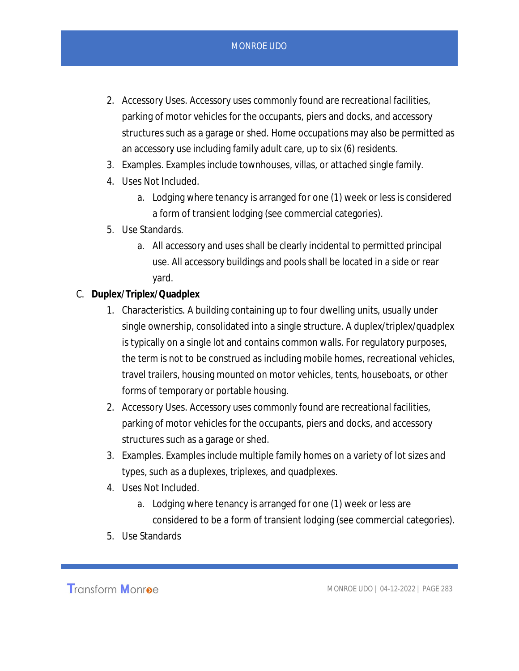- 2. Accessory Uses. Accessory uses commonly found are recreational facilities, parking of motor vehicles for the occupants, piers and docks, and accessory structures such as a garage or shed. Home occupations may also be permitted as an accessory use including family adult care, up to six (6) residents.
- 3. Examples. Examples include townhouses, villas, or attached single family.
- 4. Uses Not Included.
	- a. Lodging where tenancy is arranged for one (1) week or less is considered a form of transient lodging (see commercial categories).
- 5. Use Standards.
	- a. All accessory and uses shall be clearly incidental to permitted principal use. All accessory buildings and pools shall be located in a side or rear yard.
- C. **Duplex/Triplex/Quadplex**
	- 1. Characteristics. A building containing up to four dwelling units, usually under single ownership, consolidated into a single structure. A duplex/triplex/quadplex is typically on a single lot and contains common walls. For regulatory purposes, the term is not to be construed as including mobile homes, recreational vehicles, travel trailers, housing mounted on motor vehicles, tents, houseboats, or other forms of temporary or portable housing.
	- 2. Accessory Uses. Accessory uses commonly found are recreational facilities, parking of motor vehicles for the occupants, piers and docks, and accessory structures such as a garage or shed.
	- 3. Examples. Examples include multiple family homes on a variety of lot sizes and types, such as a duplexes, triplexes, and quadplexes.
	- 4. Uses Not Included.
		- a. Lodging where tenancy is arranged for one (1) week or less are considered to be a form of transient lodging (see commercial categories).
	- 5. Use Standards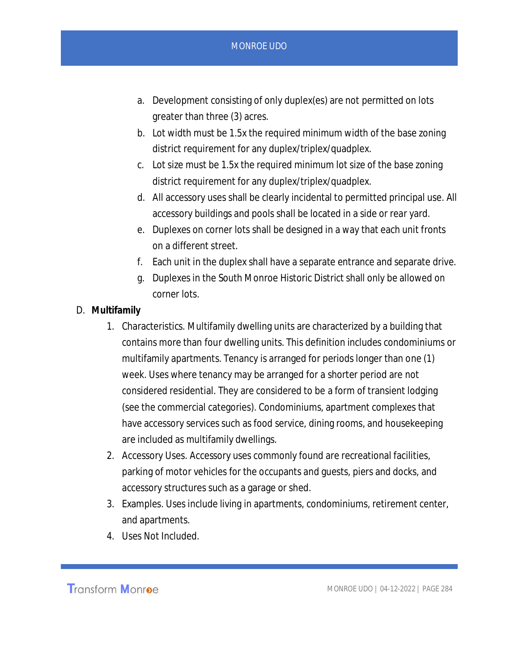- a. Development consisting of only duplex(es) are not permitted on lots greater than three (3) acres.
- b. Lot width must be 1.5x the required minimum width of the base zoning district requirement for any duplex/triplex/quadplex.
- c. Lot size must be 1.5x the required minimum lot size of the base zoning district requirement for any duplex/triplex/quadplex.
- d. All accessory uses shall be clearly incidental to permitted principal use. All accessory buildings and pools shall be located in a side or rear yard.
- e. Duplexes on corner lots shall be designed in a way that each unit fronts on a different street.
- f. Each unit in the duplex shall have a separate entrance and separate drive.
- g. Duplexes in the South Monroe Historic District shall only be allowed on corner lots.
- D. **Multifamily**
	- 1. Characteristics. Multifamily dwelling units are characterized by a building that contains more than four dwelling units. This definition includes condominiums or multifamily apartments. Tenancy is arranged for periods longer than one (1) week. Uses where tenancy may be arranged for a shorter period are not considered residential. They are considered to be a form of transient lodging (see the commercial categories). Condominiums, apartment complexes that have accessory services such as food service, dining rooms, and housekeeping are included as multifamily dwellings.
	- 2. Accessory Uses. Accessory uses commonly found are recreational facilities, parking of motor vehicles for the occupants and guests, piers and docks, and accessory structures such as a garage or shed.
	- 3. Examples. Uses include living in apartments, condominiums, retirement center, and apartments.
	- 4. Uses Not Included.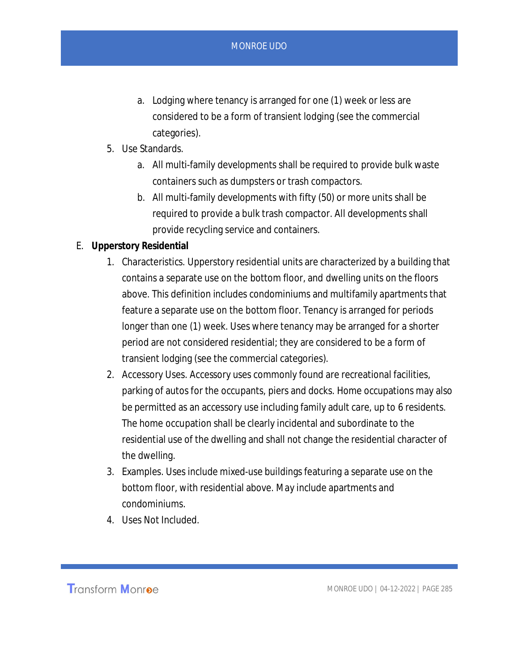- a. Lodging where tenancy is arranged for one (1) week or less are considered to be a form of transient lodging (see the commercial categories).
- 5. Use Standards.
	- a. All multi-family developments shall be required to provide bulk waste containers such as dumpsters or trash compactors.
	- b. All multi-family developments with fifty (50) or more units shall be required to provide a bulk trash compactor. All developments shall provide recycling service and containers.
- E. **Upperstory Residential**
	- 1. Characteristics. Upperstory residential units are characterized by a building that contains a separate use on the bottom floor, and dwelling units on the floors above. This definition includes condominiums and multifamily apartments that feature a separate use on the bottom floor. Tenancy is arranged for periods longer than one (1) week. Uses where tenancy may be arranged for a shorter period are not considered residential; they are considered to be a form of transient lodging (see the commercial categories).
	- 2. Accessory Uses. Accessory uses commonly found are recreational facilities, parking of autos for the occupants, piers and docks. Home occupations may also be permitted as an accessory use including family adult care, up to 6 residents. The home occupation shall be clearly incidental and subordinate to the residential use of the dwelling and shall not change the residential character of the dwelling.
	- 3. Examples. Uses include mixed-use buildings featuring a separate use on the bottom floor, with residential above. May include apartments and condominiums.
	- 4. Uses Not Included.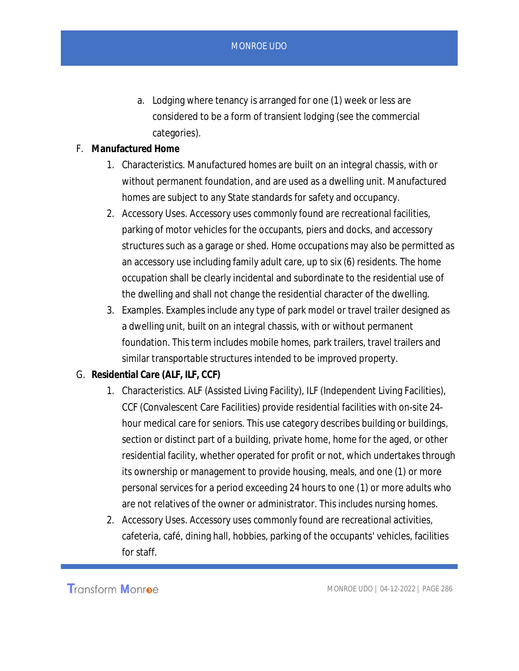- a. Lodging where tenancy is arranged for one (1) week or less are considered to be a form of transient lodging (see the commercial categories).
- F. **Manufactured Home**
	- 1. Characteristics. Manufactured homes are built on an integral chassis, with or without permanent foundation, and are used as a dwelling unit. Manufactured homes are subject to any State standards for safety and occupancy.
	- 2. Accessory Uses. Accessory uses commonly found are recreational facilities, parking of motor vehicles for the occupants, piers and docks, and accessory structures such as a garage or shed. Home occupations may also be permitted as an accessory use including family adult care, up to six (6) residents. The home occupation shall be clearly incidental and subordinate to the residential use of the dwelling and shall not change the residential character of the dwelling.
	- 3. Examples. Examples include any type of park model or travel trailer designed as a dwelling unit, built on an integral chassis, with or without permanent foundation. This term includes mobile homes, park trailers, travel trailers and similar transportable structures intended to be improved property.
- G. **Residential Care (ALF, ILF, CCF)**
	- 1. Characteristics. ALF (Assisted Living Facility), ILF (Independent Living Facilities), CCF (Convalescent Care Facilities) provide residential facilities with on-site 24 hour medical care for seniors. This use category describes building or buildings, section or distinct part of a building, private home, home for the aged, or other residential facility, whether operated for profit or not, which undertakes through its ownership or management to provide housing, meals, and one (1) or more personal services for a period exceeding 24 hours to one (1) or more adults who are not relatives of the owner or administrator. This includes nursing homes.
	- 2. Accessory Uses. Accessory uses commonly found are recreational activities, cafeteria, café, dining hall, hobbies, parking of the occupants' vehicles, facilities for staff.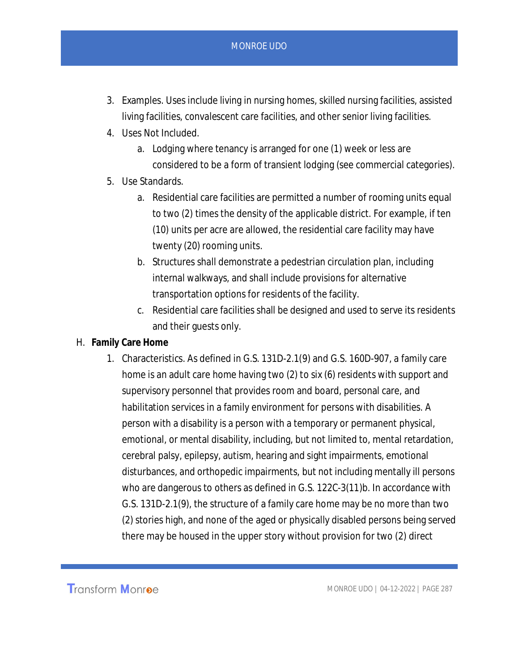- 3. Examples. Uses include living in nursing homes, skilled nursing facilities, assisted living facilities, convalescent care facilities, and other senior living facilities.
- 4. Uses Not Included.
	- a. Lodging where tenancy is arranged for one (1) week or less are considered to be a form of transient lodging (see commercial categories).
- 5. Use Standards.
	- a. Residential care facilities are permitted a number of rooming units equal to two (2) times the density of the applicable district. For example, if ten (10) units per acre are allowed, the residential care facility may have twenty (20) rooming units.
	- b. Structures shall demonstrate a pedestrian circulation plan, including internal walkways, and shall include provisions for alternative transportation options for residents of the facility.
	- c. Residential care facilities shall be designed and used to serve its residents and their guests only.
- H. **Family Care Home**
	- 1. Characteristics. As defined in G.S. 131D-2.1(9) and G.S. 160D-907, a family care home is an adult care home having two (2) to six (6) residents with support and supervisory personnel that provides room and board, personal care, and habilitation services in a family environment for persons with disabilities. A person with a disability is a person with a temporary or permanent physical, emotional, or mental disability, including, but not limited to, mental retardation, cerebral palsy, epilepsy, autism, hearing and sight impairments, emotional disturbances, and orthopedic impairments, but not including mentally ill persons who are dangerous to others as defined in G.S. 122C-3(11)b. In accordance with G.S. 131D-2.1(9), the structure of a family care home may be no more than two (2) stories high, and none of the aged or physically disabled persons being served there may be housed in the upper story without provision for two (2) direct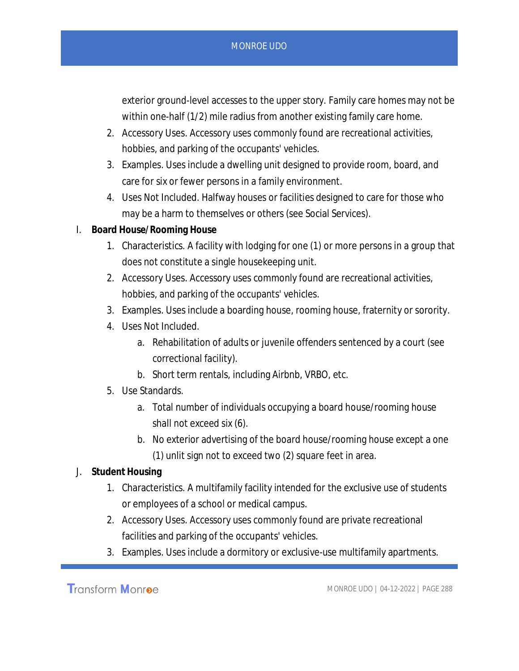exterior ground-level accesses to the upper story. Family care homes may not be within one-half (1/2) mile radius from another existing family care home.

- 2. Accessory Uses. Accessory uses commonly found are recreational activities, hobbies, and parking of the occupants' vehicles.
- 3. Examples. Uses include a dwelling unit designed to provide room, board, and care for six or fewer persons in a family environment.
- 4. Uses Not Included. Halfway houses or facilities designed to care for those who may be a harm to themselves or others (see Social Services).
- I. **Board House/Rooming House**
	- 1. Characteristics. A facility with lodging for one (1) or more persons in a group that does not constitute a single housekeeping unit.
	- 2. Accessory Uses. Accessory uses commonly found are recreational activities, hobbies, and parking of the occupants' vehicles.
	- 3. Examples. Uses include a boarding house, rooming house, fraternity or sorority.
	- 4. Uses Not Included.
		- a. Rehabilitation of adults or juvenile offenders sentenced by a court (see correctional facility).
		- b. Short term rentals, including Airbnb, VRBO, etc.
	- 5. Use Standards.
		- a. Total number of individuals occupying a board house/rooming house shall not exceed six (6).
		- b. No exterior advertising of the board house/rooming house except a one (1) unlit sign not to exceed two (2) square feet in area.
- J. **Student Housing**
	- 1. Characteristics. A multifamily facility intended for the exclusive use of students or employees of a school or medical campus.
	- 2. Accessory Uses. Accessory uses commonly found are private recreational facilities and parking of the occupants' vehicles.
	- 3. Examples. Uses include a dormitory or exclusive-use multifamily apartments.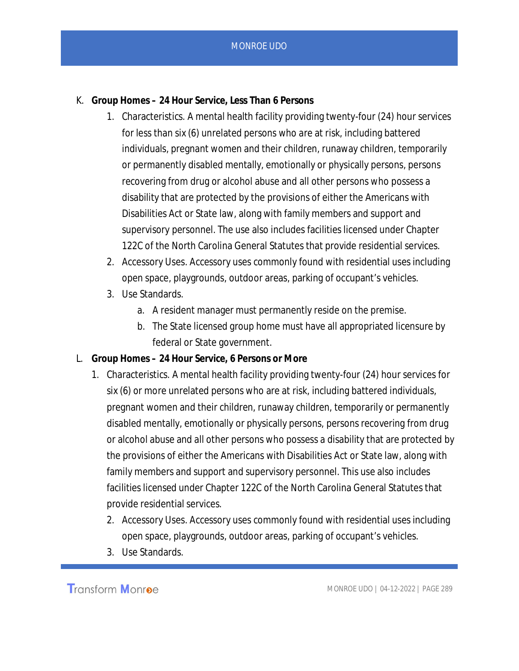- K. **Group Homes 24 Hour Service, Less Than 6 Persons**
	- 1. Characteristics. A mental health facility providing twenty-four (24) hour services for less than six (6) unrelated persons who are at risk, including battered individuals, pregnant women and their children, runaway children, temporarily or permanently disabled mentally, emotionally or physically persons, persons recovering from drug or alcohol abuse and all other persons who possess a disability that are protected by the provisions of either the Americans with Disabilities Act or State law, along with family members and support and supervisory personnel. The use also includes facilities licensed under Chapter 122C of the North Carolina General Statutes that provide residential services.
	- 2. Accessory Uses. Accessory uses commonly found with residential uses including open space, playgrounds, outdoor areas, parking of occupant's vehicles.
	- 3. Use Standards.
		- a. A resident manager must permanently reside on the premise.
		- b. The State licensed group home must have all appropriated licensure by federal or State government.
- L. **Group Homes 24 Hour Service, 6 Persons or More**
	- 1. Characteristics. A mental health facility providing twenty-four (24) hour services for six (6) or more unrelated persons who are at risk, including battered individuals, pregnant women and their children, runaway children, temporarily or permanently disabled mentally, emotionally or physically persons, persons recovering from drug or alcohol abuse and all other persons who possess a disability that are protected by the provisions of either the Americans with Disabilities Act or State law, along with family members and support and supervisory personnel. This use also includes facilities licensed under Chapter 122C of the North Carolina General Statutes that provide residential services.
		- 2. Accessory Uses. Accessory uses commonly found with residential uses including open space, playgrounds, outdoor areas, parking of occupant's vehicles.
		- 3. Use Standards.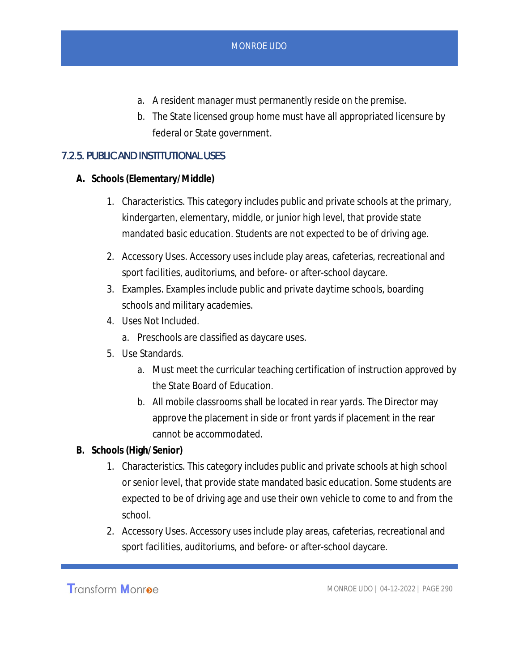- a. A resident manager must permanently reside on the premise.
- b. The State licensed group home must have all appropriated licensure by federal or State government.

## 7.2.5. PUBLIC AND INSTITUTIONAL USES

- **A. Schools (Elementary/Middle)**
	- 1. Characteristics. This category includes public and private schools at the primary, kindergarten, elementary, middle, or junior high level, that provide state mandated basic education. Students are not expected to be of driving age.
	- 2. Accessory Uses. Accessory uses include play areas, cafeterias, recreational and sport facilities, auditoriums, and before- or after-school daycare.
	- 3. Examples. Examples include public and private daytime schools, boarding schools and military academies.
	- 4. Uses Not Included.
		- a. Preschools are classified as daycare uses.
	- 5. Use Standards.
		- a. Must meet the curricular teaching certification of instruction approved by the State Board of Education.
		- b. All mobile classrooms shall be located in rear yards. The Director may approve the placement in side or front yards if placement in the rear cannot be accommodated.
- **B. Schools (High/Senior)**
	- 1. Characteristics. This category includes public and private schools at high school or senior level, that provide state mandated basic education. Some students are expected to be of driving age and use their own vehicle to come to and from the school.
	- 2. Accessory Uses. Accessory uses include play areas, cafeterias, recreational and sport facilities, auditoriums, and before- or after-school daycare.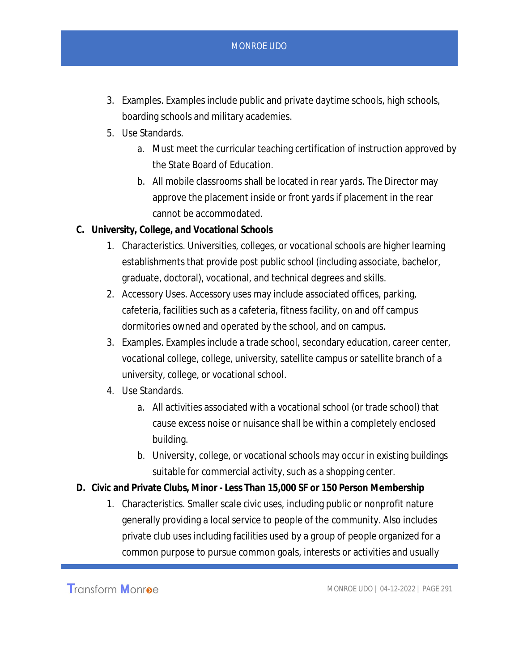- 3. Examples. Examples include public and private daytime schools, high schools, boarding schools and military academies.
- 5. Use Standards.
	- a. Must meet the curricular teaching certification of instruction approved by the State Board of Education.
	- b. All mobile classrooms shall be located in rear yards. The Director may approve the placement inside or front yards if placement in the rear cannot be accommodated.
- **C. University, College, and Vocational Schools**
	- 1. Characteristics. Universities, colleges, or vocational schools are higher learning establishments that provide post public school (including associate, bachelor, graduate, doctoral), vocational, and technical degrees and skills.
	- 2. Accessory Uses. Accessory uses may include associated offices, parking, cafeteria, facilities such as a cafeteria, fitness facility, on and off campus dormitories owned and operated by the school, and on campus.
	- 3. Examples. Examples include a trade school, secondary education, career center, vocational college, college, university, satellite campus or satellite branch of a university, college, or vocational school.
	- 4. Use Standards.
		- a. All activities associated with a vocational school (or trade school) that cause excess noise or nuisance shall be within a completely enclosed building.
		- b. University, college, or vocational schools may occur in existing buildings suitable for commercial activity, such as a shopping center.
- **D. Civic and Private Clubs, Minor Less Than 15,000 SF or 150 Person Membership**
	- 1. Characteristics. Smaller scale civic uses, including public or nonprofit nature generally providing a local service to people of the community. Also includes private club uses including facilities used by a group of people organized for a common purpose to pursue common goals, interests or activities and usually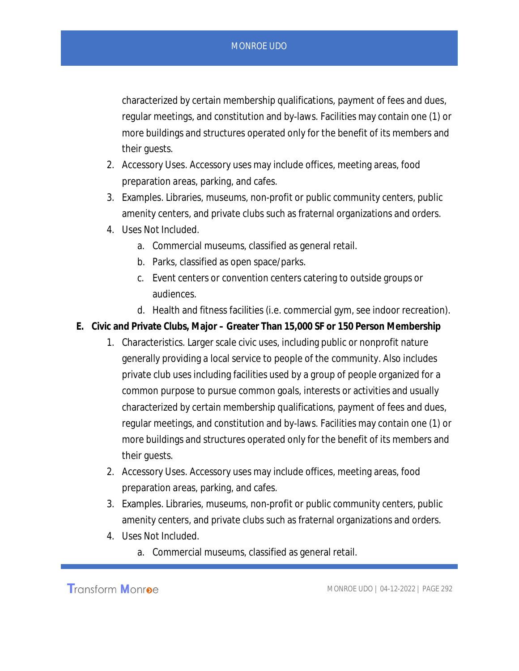characterized by certain membership qualifications, payment of fees and dues, regular meetings, and constitution and by-laws. Facilities may contain one (1) or more buildings and structures operated only for the benefit of its members and their guests.

- 2. Accessory Uses. Accessory uses may include offices, meeting areas, food preparation areas, parking, and cafes.
- 3. Examples. Libraries, museums, non-profit or public community centers, public amenity centers, and private clubs such as fraternal organizations and orders.
- 4. Uses Not Included.
	- a. Commercial museums, classified as general retail.
	- b. Parks, classified as open space/parks.
	- c. Event centers or convention centers catering to outside groups or audiences.
	- d. Health and fitness facilities (i.e. commercial gym, see indoor recreation).
- **E. Civic and Private Clubs, Major Greater Than 15,000 SF or 150 Person Membership**
	- 1. Characteristics. Larger scale civic uses, including public or nonprofit nature generally providing a local service to people of the community. Also includes private club uses including facilities used by a group of people organized for a common purpose to pursue common goals, interests or activities and usually characterized by certain membership qualifications, payment of fees and dues, regular meetings, and constitution and by-laws. Facilities may contain one (1) or more buildings and structures operated only for the benefit of its members and their guests.
	- 2. Accessory Uses. Accessory uses may include offices, meeting areas, food preparation areas, parking, and cafes.
	- 3. Examples. Libraries, museums, non-profit or public community centers, public amenity centers, and private clubs such as fraternal organizations and orders.
	- 4. Uses Not Included.
		- a. Commercial museums, classified as general retail.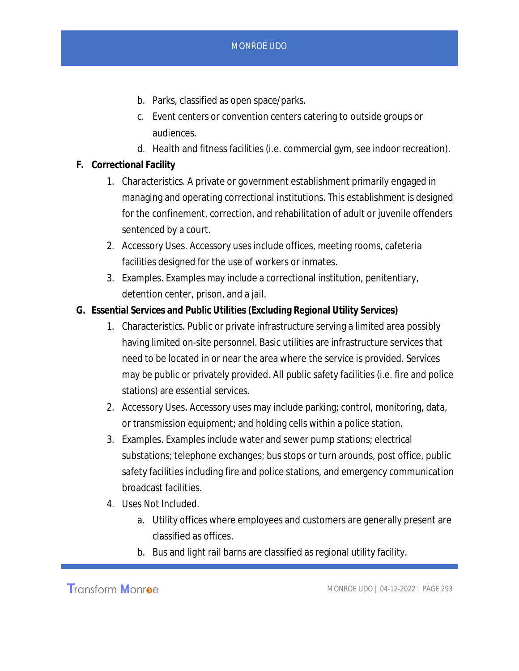- b. Parks, classified as open space/parks.
- c. Event centers or convention centers catering to outside groups or audiences.
- d. Health and fitness facilities (i.e. commercial gym, see indoor recreation).
- **F. Correctional Facility**
	- 1. Characteristics. A private or government establishment primarily engaged in managing and operating correctional institutions. This establishment is designed for the confinement, correction, and rehabilitation of adult or juvenile offenders sentenced by a court.
	- 2. Accessory Uses. Accessory uses include offices, meeting rooms, cafeteria facilities designed for the use of workers or inmates.
	- 3. Examples. Examples may include a correctional institution, penitentiary, detention center, prison, and a jail.
- **G. Essential Services and Public Utilities (Excluding Regional Utility Services)**
	- 1. Characteristics. Public or private infrastructure serving a limited area possibly having limited on-site personnel. Basic utilities are infrastructure services that need to be located in or near the area where the service is provided. Services may be public or privately provided. All public safety facilities (i.e. fire and police stations) are essential services.
	- 2. Accessory Uses. Accessory uses may include parking; control, monitoring, data, or transmission equipment; and holding cells within a police station.
	- 3. Examples. Examples include water and sewer pump stations; electrical substations; telephone exchanges; bus stops or turn arounds, post office, public safety facilities including fire and police stations, and emergency communication broadcast facilities.
	- 4. Uses Not Included.
		- a. Utility offices where employees and customers are generally present are classified as offices.
		- b. Bus and light rail barns are classified as regional utility facility.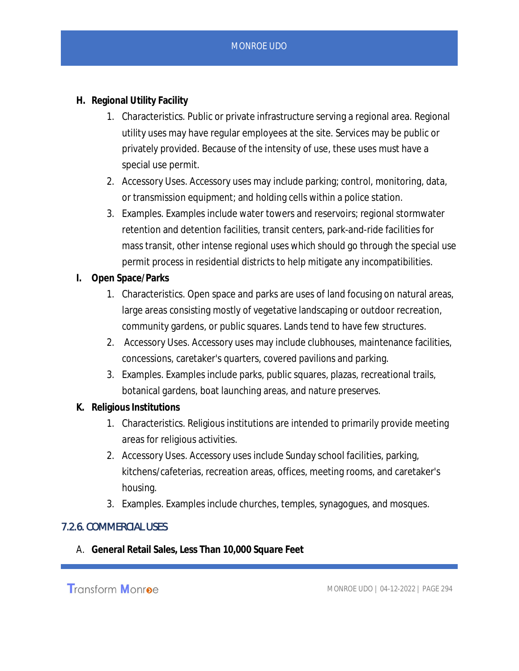- **H. Regional Utility Facility**
	- 1. Characteristics. Public or private infrastructure serving a regional area. Regional utility uses may have regular employees at the site. Services may be public or privately provided. Because of the intensity of use, these uses must have a special use permit.
	- 2. Accessory Uses. Accessory uses may include parking; control, monitoring, data, or transmission equipment; and holding cells within a police station.
	- 3. Examples. Examples include water towers and reservoirs; regional stormwater retention and detention facilities, transit centers, park-and-ride facilities for mass transit, other intense regional uses which should go through the special use permit process in residential districts to help mitigate any incompatibilities.
- **I. Open Space/Parks**
	- 1. Characteristics. Open space and parks are uses of land focusing on natural areas, large areas consisting mostly of vegetative landscaping or outdoor recreation, community gardens, or public squares. Lands tend to have few structures.
	- 2. Accessory Uses. Accessory uses may include clubhouses, maintenance facilities, concessions, caretaker's quarters, covered pavilions and parking.
	- 3. Examples. Examples include parks, public squares, plazas, recreational trails, botanical gardens, boat launching areas, and nature preserves.
- **K. Religious Institutions**
	- 1. Characteristics. Religious institutions are intended to primarily provide meeting areas for religious activities.
	- 2. Accessory Uses. Accessory uses include Sunday school facilities, parking, kitchens/cafeterias, recreation areas, offices, meeting rooms, and caretaker's housing.
	- 3. Examples. Examples include churches, temples, synagogues, and mosques.

#### 7.2.6. COMMERCIAL USES

A. **General Retail Sales, Less Than 10,000 Square Feet**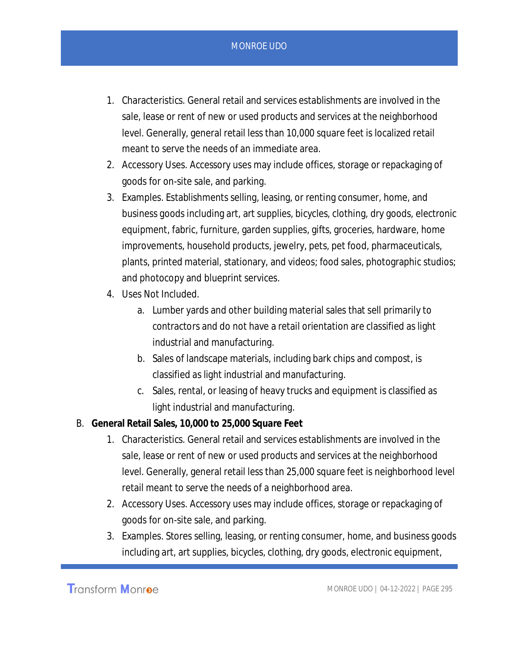- 1. Characteristics. General retail and services establishments are involved in the sale, lease or rent of new or used products and services at the neighborhood level. Generally, general retail less than 10,000 square feet is localized retail meant to serve the needs of an immediate area.
- 2. Accessory Uses. Accessory uses may include offices, storage or repackaging of goods for on-site sale, and parking.
- 3. Examples. Establishments selling, leasing, or renting consumer, home, and business goods including art, art supplies, bicycles, clothing, dry goods, electronic equipment, fabric, furniture, garden supplies, gifts, groceries, hardware, home improvements, household products, jewelry, pets, pet food, pharmaceuticals, plants, printed material, stationary, and videos; food sales, photographic studios; and photocopy and blueprint services.
- 4. Uses Not Included.
	- a. Lumber yards and other building material sales that sell primarily to contractors and do not have a retail orientation are classified as light industrial and manufacturing.
	- b. Sales of landscape materials, including bark chips and compost, is classified as light industrial and manufacturing.
	- c. Sales, rental, or leasing of heavy trucks and equipment is classified as light industrial and manufacturing.
- B. **General Retail Sales, 10,000 to 25,000 Square Feet**
	- 1. Characteristics. General retail and services establishments are involved in the sale, lease or rent of new or used products and services at the neighborhood level. Generally, general retail less than 25,000 square feet is neighborhood level retail meant to serve the needs of a neighborhood area.
	- 2. Accessory Uses. Accessory uses may include offices, storage or repackaging of goods for on-site sale, and parking.
	- 3. Examples. Stores selling, leasing, or renting consumer, home, and business goods including art, art supplies, bicycles, clothing, dry goods, electronic equipment,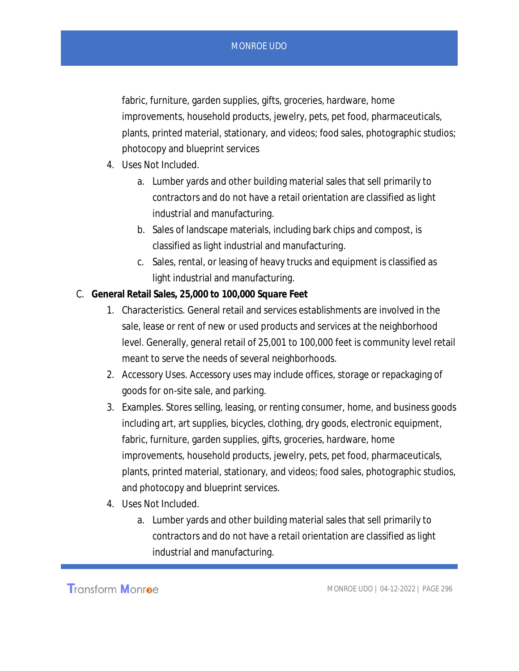fabric, furniture, garden supplies, gifts, groceries, hardware, home improvements, household products, jewelry, pets, pet food, pharmaceuticals, plants, printed material, stationary, and videos; food sales, photographic studios; photocopy and blueprint services

- 4. Uses Not Included.
	- a. Lumber yards and other building material sales that sell primarily to contractors and do not have a retail orientation are classified as light industrial and manufacturing.
	- b. Sales of landscape materials, including bark chips and compost, is classified as light industrial and manufacturing.
	- c. Sales, rental, or leasing of heavy trucks and equipment is classified as light industrial and manufacturing.
- C. **General Retail Sales, 25,000 to 100,000 Square Feet**
	- 1. Characteristics. General retail and services establishments are involved in the sale, lease or rent of new or used products and services at the neighborhood level. Generally, general retail of 25,001 to 100,000 feet is community level retail meant to serve the needs of several neighborhoods.
	- 2. Accessory Uses. Accessory uses may include offices, storage or repackaging of goods for on-site sale, and parking.
	- 3. Examples. Stores selling, leasing, or renting consumer, home, and business goods including art, art supplies, bicycles, clothing, dry goods, electronic equipment, fabric, furniture, garden supplies, gifts, groceries, hardware, home improvements, household products, jewelry, pets, pet food, pharmaceuticals, plants, printed material, stationary, and videos; food sales, photographic studios, and photocopy and blueprint services.
	- 4. Uses Not Included.
		- a. Lumber yards and other building material sales that sell primarily to contractors and do not have a retail orientation are classified as light industrial and manufacturing.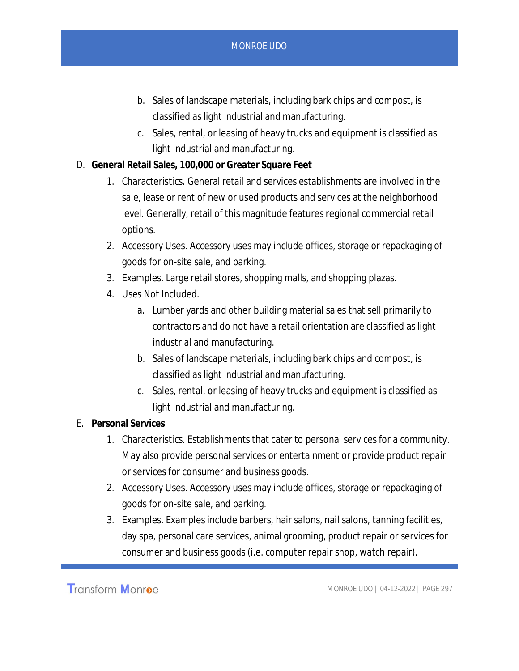- b. Sales of landscape materials, including bark chips and compost, is classified as light industrial and manufacturing.
- c. Sales, rental, or leasing of heavy trucks and equipment is classified as light industrial and manufacturing.
- D. **General Retail Sales, 100,000 or Greater Square Feet**
	- 1. Characteristics. General retail and services establishments are involved in the sale, lease or rent of new or used products and services at the neighborhood level. Generally, retail of this magnitude features regional commercial retail options.
	- 2. Accessory Uses. Accessory uses may include offices, storage or repackaging of goods for on-site sale, and parking.
	- 3. Examples. Large retail stores, shopping malls, and shopping plazas.
	- 4. Uses Not Included.
		- a. Lumber yards and other building material sales that sell primarily to contractors and do not have a retail orientation are classified as light industrial and manufacturing.
		- b. Sales of landscape materials, including bark chips and compost, is classified as light industrial and manufacturing.
		- c. Sales, rental, or leasing of heavy trucks and equipment is classified as light industrial and manufacturing.
- E. **Personal Services**
	- 1. Characteristics. Establishments that cater to personal services for a community. May also provide personal services or entertainment or provide product repair or services for consumer and business goods.
	- 2. Accessory Uses. Accessory uses may include offices, storage or repackaging of goods for on-site sale, and parking.
	- 3. Examples. Examples include barbers, hair salons, nail salons, tanning facilities, day spa, personal care services, animal grooming, product repair or services for consumer and business goods (i.e. computer repair shop, watch repair).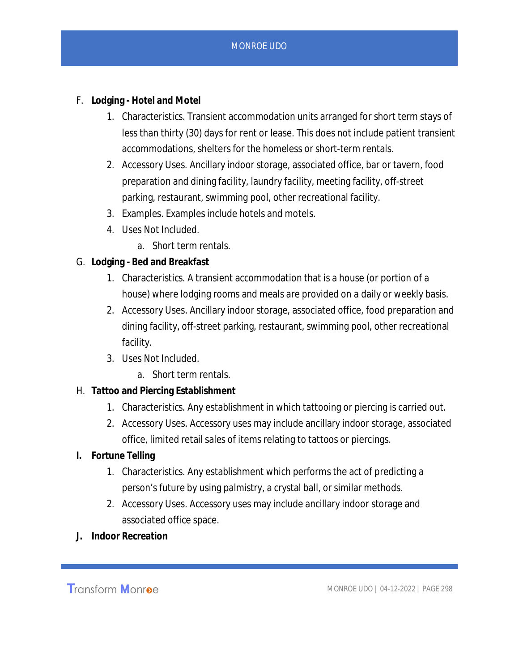- F. **Lodging Hotel and Motel**
	- 1. Characteristics. Transient accommodation units arranged for short term stays of less than thirty (30) days for rent or lease. This does not include patient transient accommodations, shelters for the homeless or short-term rentals.
	- 2. Accessory Uses. Ancillary indoor storage, associated office, bar or tavern, food preparation and dining facility, laundry facility, meeting facility, off-street parking, restaurant, swimming pool, other recreational facility.
	- 3. Examples. Examples include hotels and motels.
	- 4. Uses Not Included.
		- a. Short term rentals.
- G. **Lodging Bed and Breakfast**
	- 1. Characteristics. A transient accommodation that is a house (or portion of a house) where lodging rooms and meals are provided on a daily or weekly basis.
	- 2. Accessory Uses. Ancillary indoor storage, associated office, food preparation and dining facility, off-street parking, restaurant, swimming pool, other recreational facility.
	- 3. Uses Not Included.
		- a. Short term rentals.
- H. **Tattoo and Piercing Establishment**
	- 1. Characteristics. Any establishment in which tattooing or piercing is carried out.
	- 2. Accessory Uses. Accessory uses may include ancillary indoor storage, associated office, limited retail sales of items relating to tattoos or piercings.
- **I. Fortune Telling**
	- 1. Characteristics. Any establishment which performs the act of predicting a person's future by using palmistry, a crystal ball, or similar methods.
	- 2. Accessory Uses. Accessory uses may include ancillary indoor storage and associated office space.
- **J. Indoor Recreation**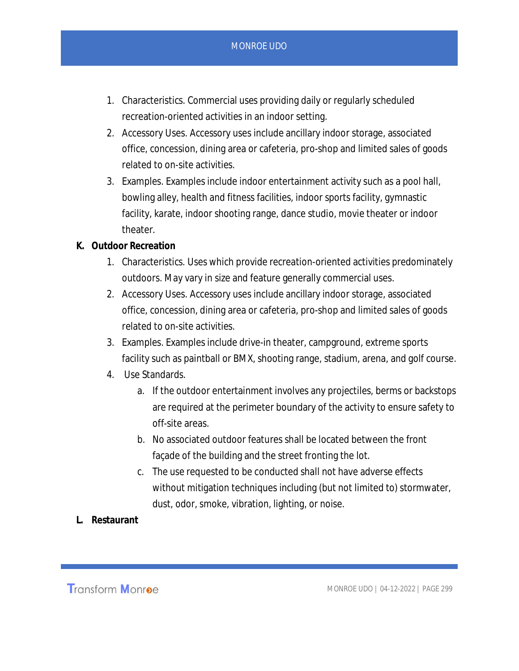- 1. Characteristics. Commercial uses providing daily or regularly scheduled recreation-oriented activities in an indoor setting.
- 2. Accessory Uses. Accessory uses include ancillary indoor storage, associated office, concession, dining area or cafeteria, pro-shop and limited sales of goods related to on-site activities.
- 3. Examples. Examples include indoor entertainment activity such as a pool hall, bowling alley, health and fitness facilities, indoor sports facility, gymnastic facility, karate, indoor shooting range, dance studio, movie theater or indoor theater.
- **K. Outdoor Recreation**
	- 1. Characteristics. Uses which provide recreation-oriented activities predominately outdoors. May vary in size and feature generally commercial uses.
	- 2. Accessory Uses. Accessory uses include ancillary indoor storage, associated office, concession, dining area or cafeteria, pro-shop and limited sales of goods related to on-site activities.
	- 3. Examples. Examples include drive-in theater, campground, extreme sports facility such as paintball or BMX, shooting range, stadium, arena, and golf course.
	- 4. Use Standards.
		- a. If the outdoor entertainment involves any projectiles, berms or backstops are required at the perimeter boundary of the activity to ensure safety to off-site areas.
		- b. No associated outdoor features shall be located between the front façade of the building and the street fronting the lot.
		- c. The use requested to be conducted shall not have adverse effects without mitigation techniques including (but not limited to) stormwater, dust, odor, smoke, vibration, lighting, or noise.
- **L. Restaurant**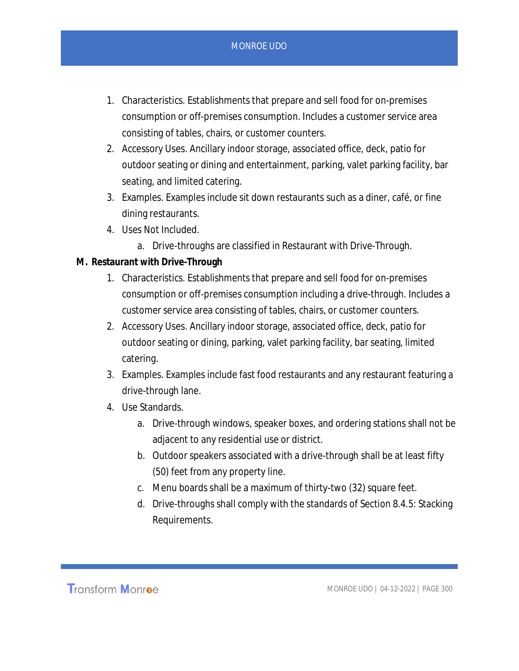- 1. Characteristics. Establishments that prepare and sell food for on-premises consumption or off-premises consumption. Includes a customer service area consisting of tables, chairs, or customer counters.
- 2. Accessory Uses. Ancillary indoor storage, associated office, deck, patio for outdoor seating or dining and entertainment, parking, valet parking facility, bar seating, and limited catering.
- 3. Examples. Examples include sit down restaurants such as a diner, café, or fine dining restaurants.
- 4. Uses Not Included.
	- a. Drive-throughs are classified in Restaurant with Drive-Through.
- **M. Restaurant with Drive-Through**
	- 1. Characteristics. Establishments that prepare and sell food for on-premises consumption or off-premises consumption including a drive-through. Includes a customer service area consisting of tables, chairs, or customer counters.
	- 2. Accessory Uses. Ancillary indoor storage, associated office, deck, patio for outdoor seating or dining, parking, valet parking facility, bar seating, limited catering.
	- 3. Examples. Examples include fast food restaurants and any restaurant featuring a drive-through lane.
	- 4. Use Standards.
		- a. Drive-through windows, speaker boxes, and ordering stations shall not be adjacent to any residential use or district.
		- b. Outdoor speakers associated with a drive-through shall be at least fifty (50) feet from any property line.
		- c. Menu boards shall be a maximum of thirty-two (32) square feet.
		- d. Drive-throughs shall comply with the standards of Section 8.4.5: Stacking Requirements.

**Transform Monroe**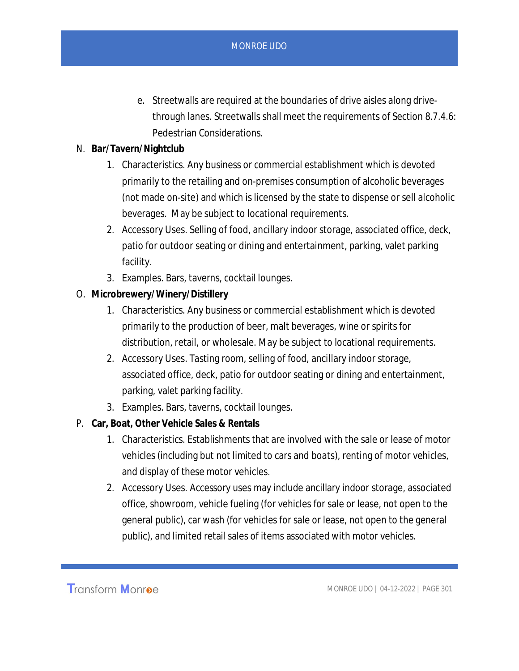- e. Streetwalls are required at the boundaries of drive aisles along drivethrough lanes. Streetwalls shall meet the requirements of Section 8.7.4.6: Pedestrian Considerations.
- N. **Bar/Tavern/Nightclub**
	- 1. Characteristics. Any business or commercial establishment which is devoted primarily to the retailing and on-premises consumption of alcoholic beverages (not made on-site) and which is licensed by the state to dispense or sell alcoholic beverages. May be subject to locational requirements.
	- 2. Accessory Uses. Selling of food, ancillary indoor storage, associated office, deck, patio for outdoor seating or dining and entertainment, parking, valet parking facility.
	- 3. Examples. Bars, taverns, cocktail lounges.
- O. **Microbrewery/Winery/Distillery**
	- 1. Characteristics. Any business or commercial establishment which is devoted primarily to the production of beer, malt beverages, wine or spirits for distribution, retail, or wholesale. May be subject to locational requirements.
	- 2. Accessory Uses. Tasting room, selling of food, ancillary indoor storage, associated office, deck, patio for outdoor seating or dining and entertainment, parking, valet parking facility.
	- 3. Examples. Bars, taverns, cocktail lounges.
- P. **Car, Boat, Other Vehicle Sales & Rentals**
	- 1. Characteristics. Establishments that are involved with the sale or lease of motor vehicles (including but not limited to cars and boats), renting of motor vehicles, and display of these motor vehicles.
	- 2. Accessory Uses. Accessory uses may include ancillary indoor storage, associated office, showroom, vehicle fueling (for vehicles for sale or lease, not open to the general public), car wash (for vehicles for sale or lease, not open to the general public), and limited retail sales of items associated with motor vehicles.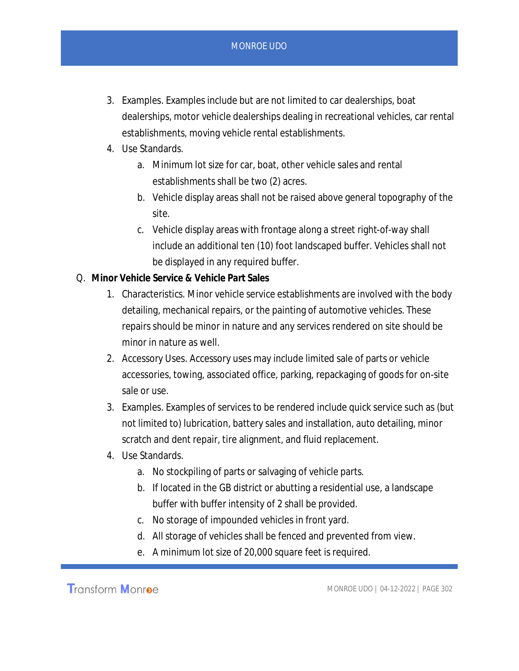- 3. Examples. Examples include but are not limited to car dealerships, boat dealerships, motor vehicle dealerships dealing in recreational vehicles, car rental establishments, moving vehicle rental establishments.
- 4. Use Standards.
	- a. Minimum lot size for car, boat, other vehicle sales and rental establishments shall be two (2) acres.
	- b. Vehicle display areas shall not be raised above general topography of the site.
	- c. Vehicle display areas with frontage along a street right-of-way shall include an additional ten (10) foot landscaped buffer. Vehicles shall not be displayed in any required buffer.
- Q. **Minor Vehicle Service & Vehicle Part Sales**
	- 1. Characteristics. Minor vehicle service establishments are involved with the body detailing, mechanical repairs, or the painting of automotive vehicles. These repairs should be minor in nature and any services rendered on site should be minor in nature as well.
	- 2. Accessory Uses. Accessory uses may include limited sale of parts or vehicle accessories, towing, associated office, parking, repackaging of goods for on-site sale or use.
	- 3. Examples. Examples of services to be rendered include quick service such as (but not limited to) lubrication, battery sales and installation, auto detailing, minor scratch and dent repair, tire alignment, and fluid replacement.
	- 4. Use Standards.
		- a. No stockpiling of parts or salvaging of vehicle parts.
		- b. If located in the GB district or abutting a residential use, a landscape buffer with buffer intensity of 2 shall be provided.
		- c. No storage of impounded vehicles in front yard.
		- d. All storage of vehicles shall be fenced and prevented from view.
		- e. A minimum lot size of 20,000 square feet is required.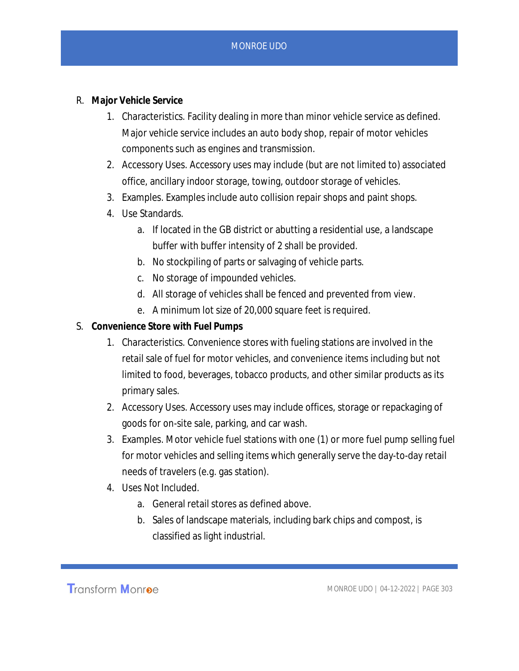- R. **Major Vehicle Service**
	- 1. Characteristics. Facility dealing in more than minor vehicle service as defined. Major vehicle service includes an auto body shop, repair of motor vehicles components such as engines and transmission.
	- 2. Accessory Uses. Accessory uses may include (but are not limited to) associated office, ancillary indoor storage, towing, outdoor storage of vehicles.
	- 3. Examples. Examples include auto collision repair shops and paint shops.
	- 4. Use Standards.
		- a. If located in the GB district or abutting a residential use, a landscape buffer with buffer intensity of 2 shall be provided.
		- b. No stockpiling of parts or salvaging of vehicle parts.
		- c. No storage of impounded vehicles.
		- d. All storage of vehicles shall be fenced and prevented from view.
		- e. A minimum lot size of 20,000 square feet is required.
- S. **Convenience Store with Fuel Pumps**
	- 1. Characteristics. Convenience stores with fueling stations are involved in the retail sale of fuel for motor vehicles, and convenience items including but not limited to food, beverages, tobacco products, and other similar products as its primary sales.
	- 2. Accessory Uses. Accessory uses may include offices, storage or repackaging of goods for on-site sale, parking, and car wash.
	- 3. Examples. Motor vehicle fuel stations with one (1) or more fuel pump selling fuel for motor vehicles and selling items which generally serve the day-to-day retail needs of travelers (e.g. gas station).
	- 4. Uses Not Included.
		- a. General retail stores as defined above.
		- b. Sales of landscape materials, including bark chips and compost, is classified as light industrial.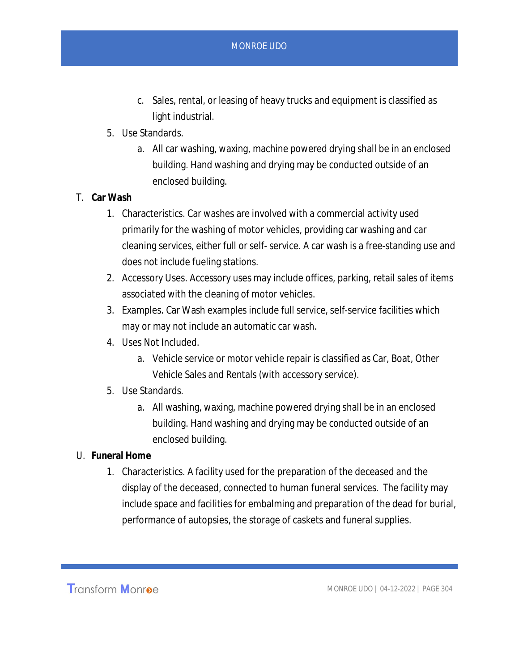- c. Sales, rental, or leasing of heavy trucks and equipment is classified as light industrial.
- 5. Use Standards.
	- a. All car washing, waxing, machine powered drying shall be in an enclosed building. Hand washing and drying may be conducted outside of an enclosed building.
- T. **Car Wash**
	- 1. Characteristics. Car washes are involved with a commercial activity used primarily for the washing of motor vehicles, providing car washing and car cleaning services, either full or self- service. A car wash is a free-standing use and does not include fueling stations.
	- 2. Accessory Uses. Accessory uses may include offices, parking, retail sales of items associated with the cleaning of motor vehicles.
	- 3. Examples. Car Wash examples include full service, self-service facilities which may or may not include an automatic car wash.
	- 4. Uses Not Included.
		- a. Vehicle service or motor vehicle repair is classified as Car, Boat, Other Vehicle Sales and Rentals (with accessory service).
	- 5. Use Standards.
		- a. All washing, waxing, machine powered drying shall be in an enclosed building. Hand washing and drying may be conducted outside of an enclosed building.
- U. **Funeral Home**
	- 1. Characteristics. A facility used for the preparation of the deceased and the display of the deceased, connected to human funeral services. The facility may include space and facilities for embalming and preparation of the dead for burial, performance of autopsies, the storage of caskets and funeral supplies.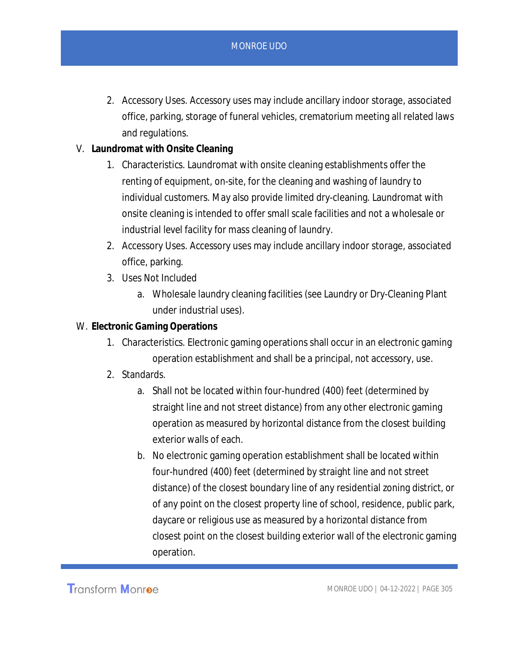- 2. Accessory Uses. Accessory uses may include ancillary indoor storage, associated office, parking, storage of funeral vehicles, crematorium meeting all related laws and regulations.
- V. **Laundromat with Onsite Cleaning**
	- 1. Characteristics. Laundromat with onsite cleaning establishments offer the renting of equipment, on-site, for the cleaning and washing of laundry to individual customers. May also provide limited dry-cleaning. Laundromat with onsite cleaning is intended to offer small scale facilities and not a wholesale or industrial level facility for mass cleaning of laundry.
	- 2. Accessory Uses. Accessory uses may include ancillary indoor storage, associated office, parking.
	- 3. Uses Not Included
		- a. Wholesale laundry cleaning facilities (see Laundry or Dry-Cleaning Plant under industrial uses).
- W. **Electronic Gaming Operations**
	- 1. Characteristics. Electronic gaming operations shall occur in an electronic gaming operation establishment and shall be a principal, not accessory, use.
	- 2. Standards.
		- a. Shall not be located within four-hundred (400) feet (determined by straight line and not street distance) from any other electronic gaming operation as measured by horizontal distance from the closest building exterior walls of each.
		- b. No electronic gaming operation establishment shall be located within four-hundred (400) feet (determined by straight line and not street distance) of the closest boundary line of any residential zoning district, or of any point on the closest property line of school, residence, public park, daycare or religious use as measured by a horizontal distance from closest point on the closest building exterior wall of the electronic gaming operation.

Transform Monroe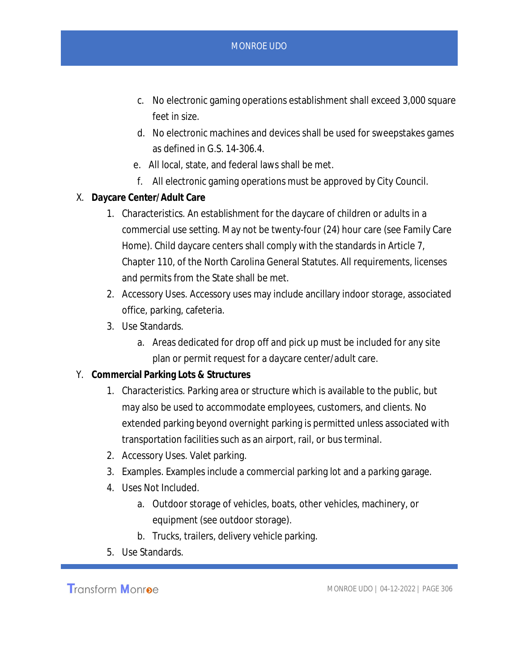- c. No electronic gaming operations establishment shall exceed 3,000 square feet in size.
- d. No electronic machines and devices shall be used for sweepstakes games as defined in G.S. 14-306.4.
- e. All local, state, and federal laws shall be met.
- f. All electronic gaming operations must be approved by City Council.
- X. **Daycare Center/Adult Care**
	- 1. Characteristics. An establishment for the daycare of children or adults in a commercial use setting. May not be twenty-four (24) hour care (see Family Care Home). Child daycare centers shall comply with the standards in Article 7, Chapter 110, of the North Carolina General Statutes. All requirements, licenses and permits from the State shall be met.
	- 2. Accessory Uses. Accessory uses may include ancillary indoor storage, associated office, parking, cafeteria.
	- 3. Use Standards.
		- a. Areas dedicated for drop off and pick up must be included for any site plan or permit request for a daycare center/adult care.
- Y. **Commercial Parking Lots & Structures**
	- 1. Characteristics. Parking area or structure which is available to the public, but may also be used to accommodate employees, customers, and clients. No extended parking beyond overnight parking is permitted unless associated with transportation facilities such as an airport, rail, or bus terminal.
	- 2. Accessory Uses. Valet parking.
	- 3. Examples. Examples include a commercial parking lot and a parking garage.
	- 4. Uses Not Included.
		- a. Outdoor storage of vehicles, boats, other vehicles, machinery, or equipment (see outdoor storage).
		- b. Trucks, trailers, delivery vehicle parking.
	- 5. Use Standards.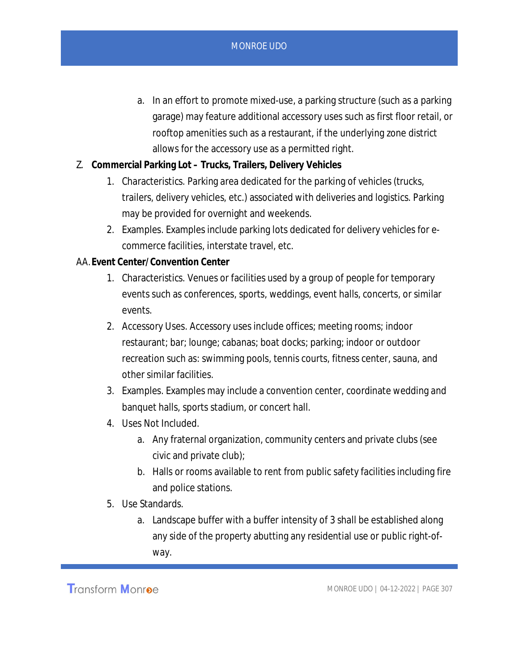- a. In an effort to promote mixed-use, a parking structure (such as a parking garage) may feature additional accessory uses such as first floor retail, or rooftop amenities such as a restaurant, if the underlying zone district allows for the accessory use as a permitted right.
- Z. **Commercial Parking Lot Trucks, Trailers, Delivery Vehicles**
	- 1. Characteristics. Parking area dedicated for the parking of vehicles (trucks, trailers, delivery vehicles, etc.) associated with deliveries and logistics. Parking may be provided for overnight and weekends.
	- 2. Examples. Examples include parking lots dedicated for delivery vehicles for ecommerce facilities, interstate travel, etc.

## AA.**Event Center/Convention Center**

- 1. Characteristics. Venues or facilities used by a group of people for temporary events such as conferences, sports, weddings, event halls, concerts, or similar events.
- 2. Accessory Uses. Accessory uses include offices; meeting rooms; indoor restaurant; bar; lounge; cabanas; boat docks; parking; indoor or outdoor recreation such as: swimming pools, tennis courts, fitness center, sauna, and other similar facilities.
- 3. Examples. Examples may include a convention center, coordinate wedding and banquet halls, sports stadium, or concert hall.
- 4. Uses Not Included.
	- a. Any fraternal organization, community centers and private clubs (see civic and private club);
	- b. Halls or rooms available to rent from public safety facilities including fire and police stations.
- 5. Use Standards.
	- a. Landscape buffer with a buffer intensity of 3 shall be established along any side of the property abutting any residential use or public right-ofway.

**Transform Monroe**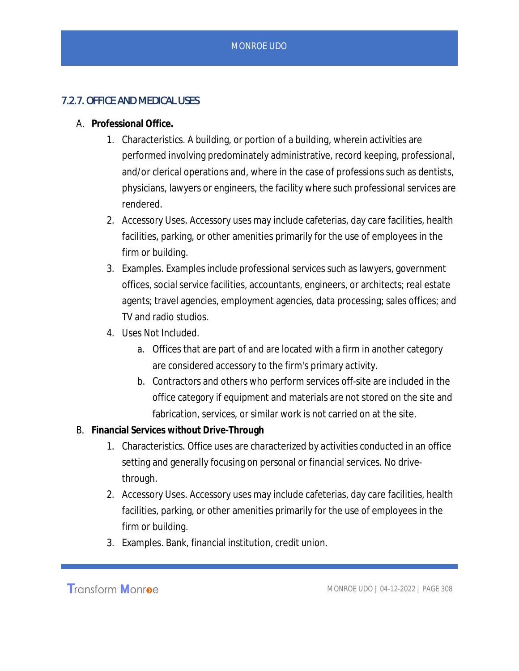## 7.2.7. OFFICE AND MEDICAL USES

- A. **Professional Office.**
	- 1. Characteristics. A building, or portion of a building, wherein activities are performed involving predominately administrative, record keeping, professional, and/or clerical operations and, where in the case of professions such as dentists, physicians, lawyers or engineers, the facility where such professional services are rendered.
	- 2. Accessory Uses. Accessory uses may include cafeterias, day care facilities, health facilities, parking, or other amenities primarily for the use of employees in the firm or building.
	- 3. Examples. Examples include professional services such as lawyers, government offices, social service facilities, accountants, engineers, or architects; real estate agents; travel agencies, employment agencies, data processing; sales offices; and TV and radio studios.
	- 4. Uses Not Included.
		- a. Offices that are part of and are located with a firm in another category are considered accessory to the firm's primary activity.
		- b. Contractors and others who perform services off-site are included in the office category if equipment and materials are not stored on the site and fabrication, services, or similar work is not carried on at the site.
- B. **Financial Services without Drive-Through**
	- 1. Characteristics. Office uses are characterized by activities conducted in an office setting and generally focusing on personal or financial services. No drivethrough.
	- 2. Accessory Uses. Accessory uses may include cafeterias, day care facilities, health facilities, parking, or other amenities primarily for the use of employees in the firm or building.
	- 3. Examples. Bank, financial institution, credit union.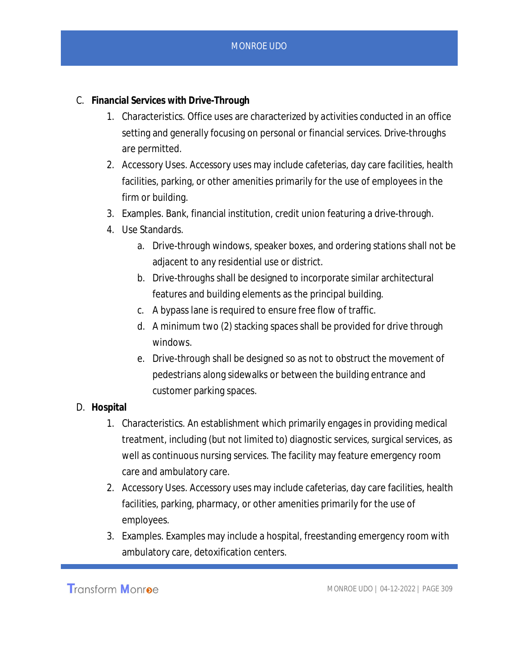- C. **Financial Services with Drive-Through**
	- 1. Characteristics. Office uses are characterized by activities conducted in an office setting and generally focusing on personal or financial services. Drive-throughs are permitted.
	- 2. Accessory Uses. Accessory uses may include cafeterias, day care facilities, health facilities, parking, or other amenities primarily for the use of employees in the firm or building.
	- 3. Examples. Bank, financial institution, credit union featuring a drive-through.
	- 4. Use Standards.
		- a. Drive-through windows, speaker boxes, and ordering stations shall not be adjacent to any residential use or district.
		- b. Drive-throughs shall be designed to incorporate similar architectural features and building elements as the principal building.
		- c. A bypass lane is required to ensure free flow of traffic.
		- d. A minimum two (2) stacking spaces shall be provided for drive through windows.
		- e. Drive-through shall be designed so as not to obstruct the movement of pedestrians along sidewalks or between the building entrance and customer parking spaces.
- D. **Hospital**
	- 1. Characteristics. An establishment which primarily engages in providing medical treatment, including (but not limited to) diagnostic services, surgical services, as well as continuous nursing services. The facility may feature emergency room care and ambulatory care.
	- 2. Accessory Uses. Accessory uses may include cafeterias, day care facilities, health facilities, parking, pharmacy, or other amenities primarily for the use of employees.
	- 3. Examples. Examples may include a hospital, freestanding emergency room with ambulatory care, detoxification centers.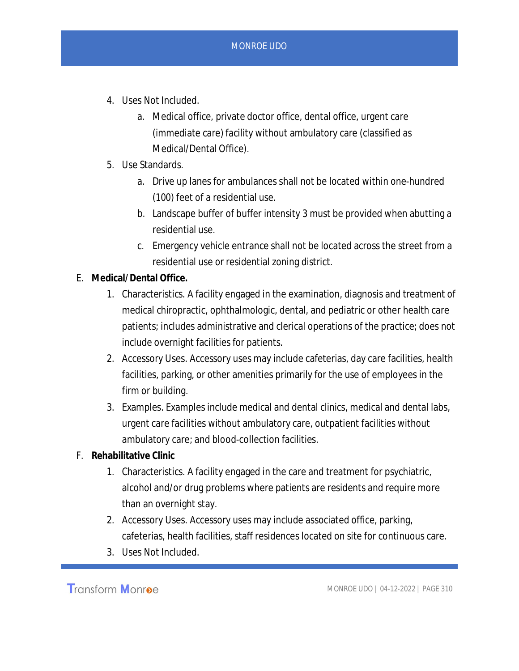- 4. Uses Not Included.
	- a. Medical office, private doctor office, dental office, urgent care (immediate care) facility without ambulatory care (classified as Medical/Dental Office).
- 5. Use Standards.
	- a. Drive up lanes for ambulances shall not be located within one-hundred (100) feet of a residential use.
	- b. Landscape buffer of buffer intensity 3 must be provided when abutting a residential use.
	- c. Emergency vehicle entrance shall not be located across the street from a residential use or residential zoning district.
- E. **Medical/Dental Office.**
	- 1. Characteristics. A facility engaged in the examination, diagnosis and treatment of medical chiropractic, ophthalmologic, dental, and pediatric or other health care patients; includes administrative and clerical operations of the practice; does not include overnight facilities for patients.
	- 2. Accessory Uses. Accessory uses may include cafeterias, day care facilities, health facilities, parking, or other amenities primarily for the use of employees in the firm or building.
	- 3. Examples. Examples include medical and dental clinics, medical and dental labs, urgent care facilities without ambulatory care, outpatient facilities without ambulatory care; and blood-collection facilities.
- F. **Rehabilitative Clinic**
	- 1. Characteristics. A facility engaged in the care and treatment for psychiatric, alcohol and/or drug problems where patients are residents and require more than an overnight stay.
	- 2. Accessory Uses. Accessory uses may include associated office, parking, cafeterias, health facilities, staff residences located on site for continuous care.
	- 3. Uses Not Included.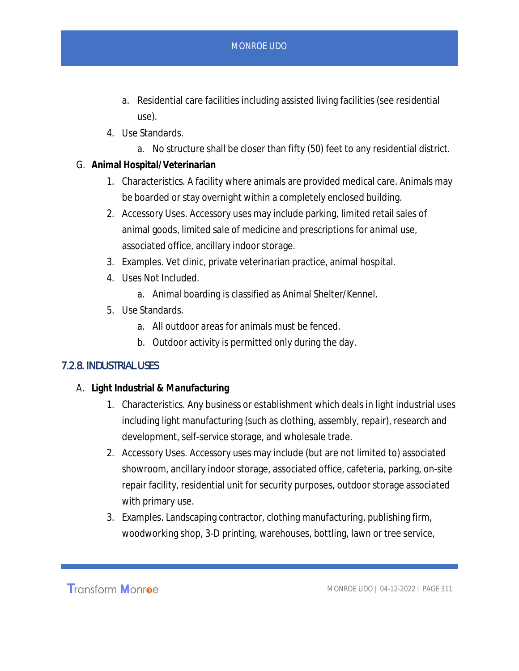- a. Residential care facilities including assisted living facilities (see residential use).
- 4. Use Standards.
	- a. No structure shall be closer than fifty (50) feet to any residential district.
- G. **Animal Hospital/Veterinarian**
	- 1. Characteristics. A facility where animals are provided medical care. Animals may be boarded or stay overnight within a completely enclosed building.
	- 2. Accessory Uses. Accessory uses may include parking, limited retail sales of animal goods, limited sale of medicine and prescriptions for animal use, associated office, ancillary indoor storage.
	- 3. Examples. Vet clinic, private veterinarian practice, animal hospital.
	- 4. Uses Not Included.
		- a. Animal boarding is classified as Animal Shelter/Kennel.
	- 5. Use Standards.
		- a. All outdoor areas for animals must be fenced.
		- b. Outdoor activity is permitted only during the day.

## 7.2.8. INDUSTRIAL USES

- A. **Light Industrial & Manufacturing**
	- 1. Characteristics. Any business or establishment which deals in light industrial uses including light manufacturing (such as clothing, assembly, repair), research and development, self-service storage, and wholesale trade.
	- 2. Accessory Uses. Accessory uses may include (but are not limited to) associated showroom, ancillary indoor storage, associated office, cafeteria, parking, on-site repair facility, residential unit for security purposes, outdoor storage associated with primary use.
	- 3. Examples. Landscaping contractor, clothing manufacturing, publishing firm, woodworking shop, 3-D printing, warehouses, bottling, lawn or tree service,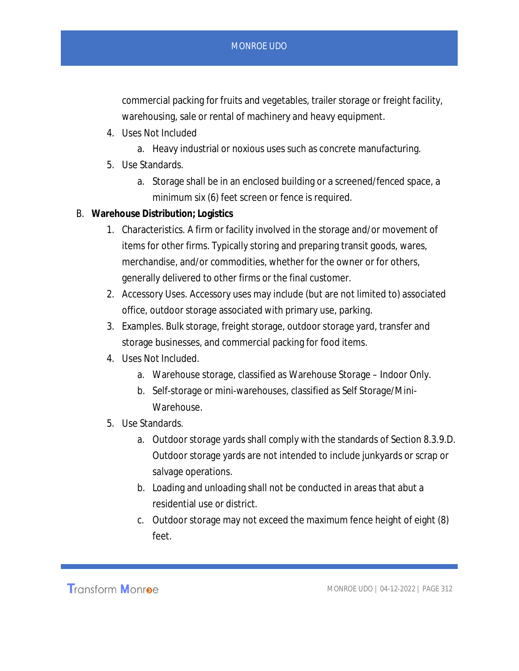commercial packing for fruits and vegetables, trailer storage or freight facility, warehousing, sale or rental of machinery and heavy equipment.

- 4. Uses Not Included
	- a. Heavy industrial or noxious uses such as concrete manufacturing.
- 5. Use Standards.
	- a. Storage shall be in an enclosed building or a screened/fenced space, a minimum six (6) feet screen or fence is required.
- B. **Warehouse Distribution; Logistics**
	- 1. Characteristics. A firm or facility involved in the storage and/or movement of items for other firms. Typically storing and preparing transit goods, wares, merchandise, and/or commodities, whether for the owner or for others, generally delivered to other firms or the final customer.
	- 2. Accessory Uses. Accessory uses may include (but are not limited to) associated office, outdoor storage associated with primary use, parking.
	- 3. Examples. Bulk storage, freight storage, outdoor storage yard, transfer and storage businesses, and commercial packing for food items.
	- 4. Uses Not Included.
		- a. Warehouse storage, classified as Warehouse Storage Indoor Only.
		- b. Self-storage or mini-warehouses, classified as Self Storage/Mini-Warehouse.
	- 5. Use Standards.
		- a. Outdoor storage yards shall comply with the standards of Section 8.3.9.D. Outdoor storage yards are not intended to include junkyards or scrap or salvage operations.
		- b. Loading and unloading shall not be conducted in areas that abut a residential use or district.
		- c. Outdoor storage may not exceed the maximum fence height of eight (8) feet.

**Transform Monroe**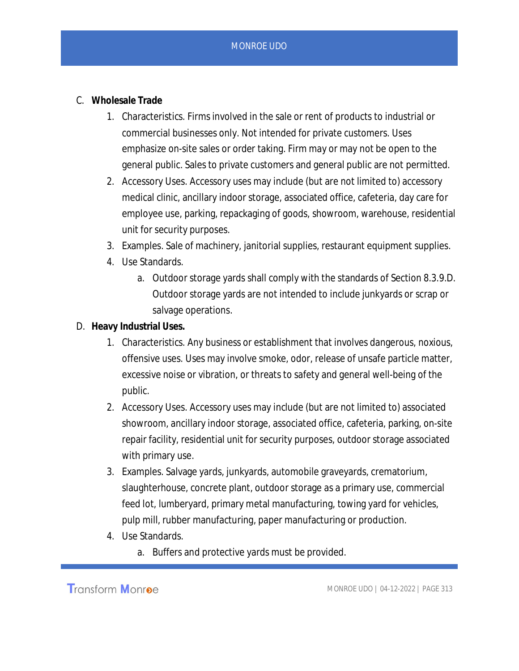- C. **Wholesale Trade**
	- 1. Characteristics. Firms involved in the sale or rent of products to industrial or commercial businesses only. Not intended for private customers. Uses emphasize on-site sales or order taking. Firm may or may not be open to the general public. Sales to private customers and general public are not permitted.
	- 2. Accessory Uses. Accessory uses may include (but are not limited to) accessory medical clinic, ancillary indoor storage, associated office, cafeteria, day care for employee use, parking, repackaging of goods, showroom, warehouse, residential unit for security purposes.
	- 3. Examples. Sale of machinery, janitorial supplies, restaurant equipment supplies.
	- 4. Use Standards.
		- a. Outdoor storage yards shall comply with the standards of Section 8.3.9.D. Outdoor storage yards are not intended to include junkyards or scrap or salvage operations.
- D. **Heavy Industrial Uses.**
	- 1. Characteristics. Any business or establishment that involves dangerous, noxious, offensive uses. Uses may involve smoke, odor, release of unsafe particle matter, excessive noise or vibration, or threats to safety and general well-being of the public.
	- 2. Accessory Uses. Accessory uses may include (but are not limited to) associated showroom, ancillary indoor storage, associated office, cafeteria, parking, on-site repair facility, residential unit for security purposes, outdoor storage associated with primary use.
	- 3. Examples. Salvage yards, junkyards, automobile graveyards, crematorium, slaughterhouse, concrete plant, outdoor storage as a primary use, commercial feed lot, lumberyard, primary metal manufacturing, towing yard for vehicles, pulp mill, rubber manufacturing, paper manufacturing or production.
	- 4. Use Standards.
		- a. Buffers and protective yards must be provided.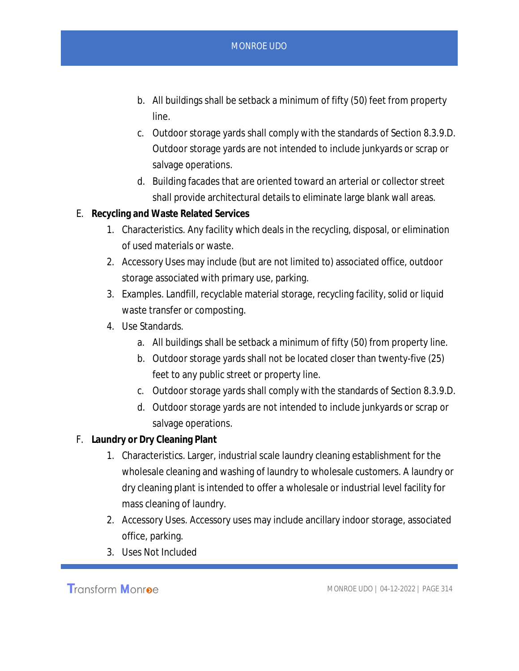- b. All buildings shall be setback a minimum of fifty (50) feet from property line.
- c. Outdoor storage yards shall comply with the standards of Section 8.3.9.D. Outdoor storage yards are not intended to include junkyards or scrap or salvage operations.
- d. Building facades that are oriented toward an arterial or collector street shall provide architectural details to eliminate large blank wall areas.
- E. **Recycling and Waste Related Services**
	- 1. Characteristics. Any facility which deals in the recycling, disposal, or elimination of used materials or waste.
	- 2. Accessory Uses may include (but are not limited to) associated office, outdoor storage associated with primary use, parking.
	- 3. Examples. Landfill, recyclable material storage, recycling facility, solid or liquid waste transfer or composting.
	- 4. Use Standards.
		- a. All buildings shall be setback a minimum of fifty (50) from property line.
		- b. Outdoor storage yards shall not be located closer than twenty-five (25) feet to any public street or property line.
		- c. Outdoor storage yards shall comply with the standards of Section 8.3.9.D.
		- d. Outdoor storage yards are not intended to include junkyards or scrap or salvage operations.
- F. **Laundry or Dry Cleaning Plant**
	- 1. Characteristics. Larger, industrial scale laundry cleaning establishment for the wholesale cleaning and washing of laundry to wholesale customers. A laundry or dry cleaning plant is intended to offer a wholesale or industrial level facility for mass cleaning of laundry.
	- 2. Accessory Uses. Accessory uses may include ancillary indoor storage, associated office, parking.
	- 3. Uses Not Included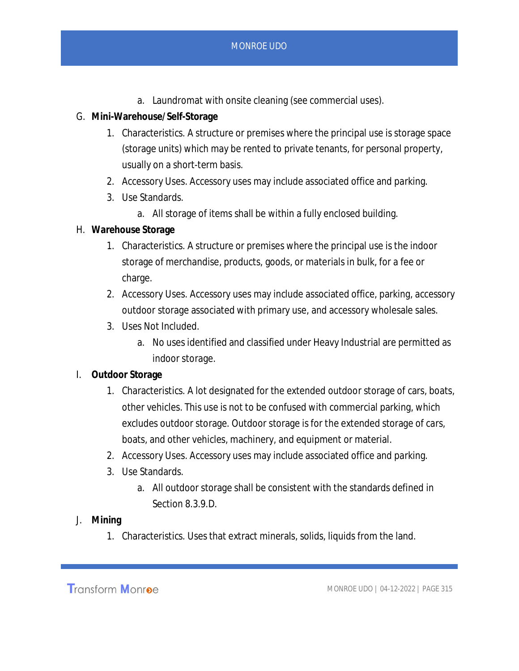- a. Laundromat with onsite cleaning (see commercial uses).
- G. **Mini-Warehouse/Self-Storage**
	- 1. Characteristics. A structure or premises where the principal use is storage space (storage units) which may be rented to private tenants, for personal property, usually on a short-term basis.
	- 2. Accessory Uses. Accessory uses may include associated office and parking.
	- 3. Use Standards.
		- a. All storage of items shall be within a fully enclosed building.
- H. **Warehouse Storage**
	- 1. Characteristics. A structure or premises where the principal use is the indoor storage of merchandise, products, goods, or materials in bulk, for a fee or charge.
	- 2. Accessory Uses. Accessory uses may include associated office, parking, accessory outdoor storage associated with primary use, and accessory wholesale sales.
	- 3. Uses Not Included.
		- a. No uses identified and classified under Heavy Industrial are permitted as indoor storage.

#### I. **Outdoor Storage**

- 1. Characteristics. A lot designated for the extended outdoor storage of cars, boats, other vehicles. This use is not to be confused with commercial parking, which excludes outdoor storage. Outdoor storage is for the extended storage of cars, boats, and other vehicles, machinery, and equipment or material.
- 2. Accessory Uses. Accessory uses may include associated office and parking.
- 3. Use Standards.
	- a. All outdoor storage shall be consistent with the standards defined in Section 8.3.9.D.
- J. **Mining**
	- 1. Characteristics. Uses that extract minerals, solids, liquids from the land.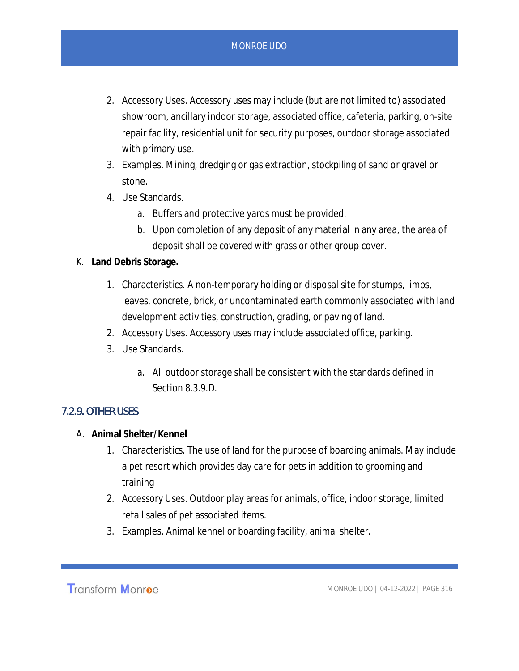- 2. Accessory Uses. Accessory uses may include (but are not limited to) associated showroom, ancillary indoor storage, associated office, cafeteria, parking, on-site repair facility, residential unit for security purposes, outdoor storage associated with primary use.
- 3. Examples. Mining, dredging or gas extraction, stockpiling of sand or gravel or stone.
- 4. Use Standards.
	- a. Buffers and protective yards must be provided.
	- b. Upon completion of any deposit of any material in any area, the area of deposit shall be covered with grass or other group cover.
- K. **Land Debris Storage.**
	- 1. Characteristics. A non-temporary holding or disposal site for stumps, limbs, leaves, concrete, brick, or uncontaminated earth commonly associated with land development activities, construction, grading, or paving of land.
	- 2. Accessory Uses. Accessory uses may include associated office, parking.
	- 3. Use Standards.
		- a. All outdoor storage shall be consistent with the standards defined in Section 8.3.9.D.

#### 7.2.9. OTHER USES

- A. **Animal Shelter/Kennel**
	- 1. Characteristics. The use of land for the purpose of boarding animals. May include a pet resort which provides day care for pets in addition to grooming and training
	- 2. Accessory Uses. Outdoor play areas for animals, office, indoor storage, limited retail sales of pet associated items.
	- 3. Examples. Animal kennel or boarding facility, animal shelter.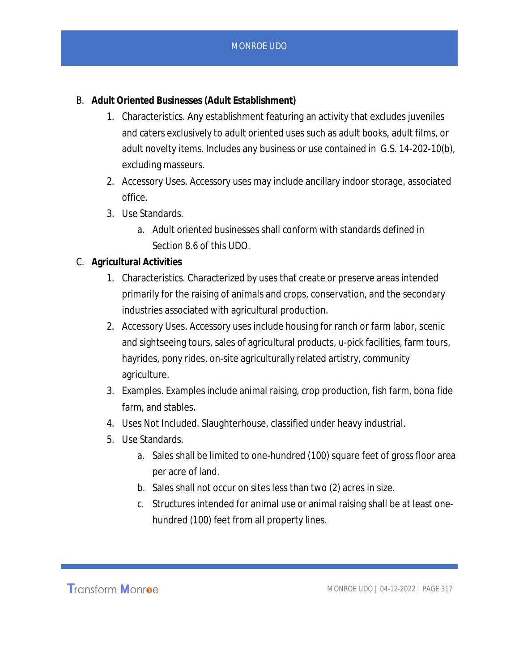- B. **Adult Oriented Businesses (Adult Establishment)**
	- 1. Characteristics. Any establishment featuring an activity that excludes juveniles and caters exclusively to adult oriented uses such as adult books, adult films, or adult novelty items. Includes any business or use contained in G.S. 14-202-10(b), excluding masseurs.
	- 2. Accessory Uses. Accessory uses may include ancillary indoor storage, associated office.
	- 3. Use Standards.
		- a. Adult oriented businesses shall conform with standards defined in Section 8.6 of this UDO.

## C. **Agricultural Activities**

- 1. Characteristics. Characterized by uses that create or preserve areas intended primarily for the raising of animals and crops, conservation, and the secondary industries associated with agricultural production.
- 2. Accessory Uses. Accessory uses include housing for ranch or farm labor, scenic and sightseeing tours, sales of agricultural products, u-pick facilities, farm tours, hayrides, pony rides, on-site agriculturally related artistry, community agriculture.
- 3. Examples. Examples include animal raising, crop production, fish farm, bona fide farm, and stables.
- 4. Uses Not Included. Slaughterhouse, classified under heavy industrial.
- 5. Use Standards.
	- a. Sales shall be limited to one-hundred (100) square feet of gross floor area per acre of land.
	- b. Sales shall not occur on sites less than two (2) acres in size.
	- c. Structures intended for animal use or animal raising shall be at least onehundred (100) feet from all property lines.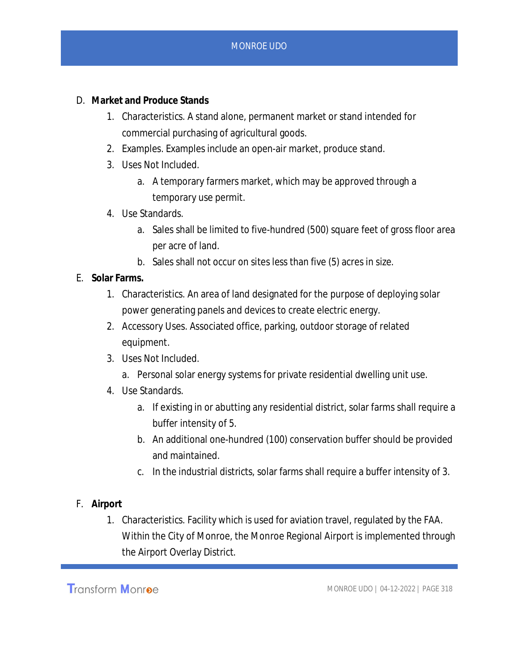- D. **Market and Produce Stands**
	- 1. Characteristics. A stand alone, permanent market or stand intended for commercial purchasing of agricultural goods.
	- 2. Examples. Examples include an open-air market, produce stand.
	- 3. Uses Not Included.
		- a. A temporary farmers market, which may be approved through a temporary use permit.
	- 4. Use Standards.
		- a. Sales shall be limited to five-hundred (500) square feet of gross floor area per acre of land.
		- b. Sales shall not occur on sites less than five (5) acres in size.
- E. **Solar Farms.**
	- 1. Characteristics. An area of land designated for the purpose of deploying solar power generating panels and devices to create electric energy.
	- 2. Accessory Uses. Associated office, parking, outdoor storage of related equipment.
	- 3. Uses Not Included.
		- a. Personal solar energy systems for private residential dwelling unit use.
	- 4. Use Standards.
		- a. If existing in or abutting any residential district, solar farms shall require a buffer intensity of 5.
		- b. An additional one-hundred (100) conservation buffer should be provided and maintained.
		- c. In the industrial districts, solar farms shall require a buffer intensity of 3.
- F. **Airport**
	- 1. Characteristics. Facility which is used for aviation travel, regulated by the FAA. Within the City of Monroe, the Monroe Regional Airport is implemented through the Airport Overlay District.

Transform Monroe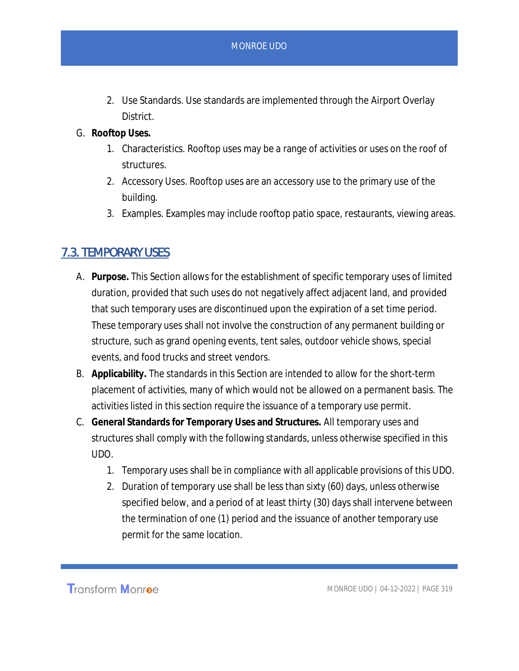- 2. Use Standards. Use standards are implemented through the Airport Overlay District.
- G. **Rooftop Uses.**
	- 1. Characteristics. Rooftop uses may be a range of activities or uses on the roof of structures.
	- 2. Accessory Uses. Rooftop uses are an accessory use to the primary use of the building.
	- 3. Examples. Examples may include rooftop patio space, restaurants, viewing areas.

# 7.3. TEMPORARY USES

- A. **Purpose.** This Section allows for the establishment of specific temporary uses of limited duration, provided that such uses do not negatively affect adjacent land, and provided that such temporary uses are discontinued upon the expiration of a set time period. These temporary uses shall not involve the construction of any permanent building or structure, such as grand opening events, tent sales, outdoor vehicle shows, special events, and food trucks and street vendors.
- B. **Applicability.** The standards in this Section are intended to allow for the short-term placement of activities, many of which would not be allowed on a permanent basis. The activities listed in this section require the issuance of a temporary use permit.
- C. **General Standards for Temporary Uses and Structures.** All temporary uses and structures shall comply with the following standards, unless otherwise specified in this UDO.
	- 1. Temporary uses shall be in compliance with all applicable provisions of this UDO.
	- 2. Duration of temporary use shall be less than sixty (60) days, unless otherwise specified below, and a period of at least thirty (30) days shall intervene between the termination of one (1) period and the issuance of another temporary use permit for the same location.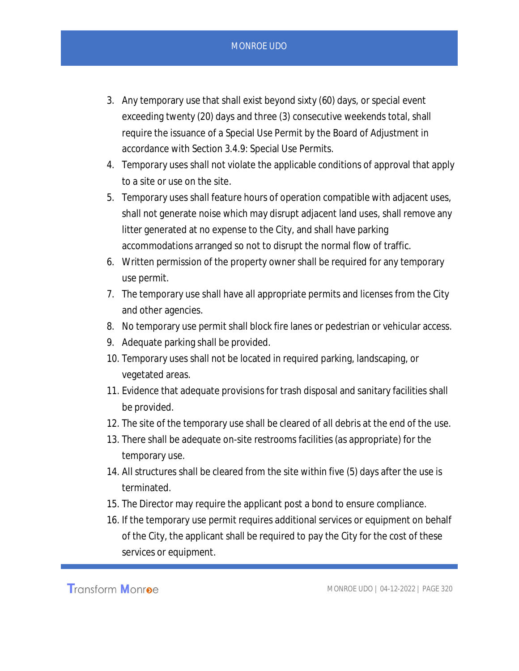- 3. Any temporary use that shall exist beyond sixty (60) days, or special event exceeding twenty (20) days and three (3) consecutive weekends total, shall require the issuance of a Special Use Permit by the Board of Adjustment in accordance with Section 3.4.9: Special Use Permits.
- 4. Temporary uses shall not violate the applicable conditions of approval that apply to a site or use on the site.
- 5. Temporary uses shall feature hours of operation compatible with adjacent uses, shall not generate noise which may disrupt adjacent land uses, shall remove any litter generated at no expense to the City, and shall have parking accommodations arranged so not to disrupt the normal flow of traffic.
- 6. Written permission of the property owner shall be required for any temporary use permit.
- 7. The temporary use shall have all appropriate permits and licenses from the City and other agencies.
- 8. No temporary use permit shall block fire lanes or pedestrian or vehicular access.
- 9. Adequate parking shall be provided.
- 10. Temporary uses shall not be located in required parking, landscaping, or vegetated areas.
- 11. Evidence that adequate provisions for trash disposal and sanitary facilities shall be provided.
- 12. The site of the temporary use shall be cleared of all debris at the end of the use.
- 13. There shall be adequate on-site restrooms facilities (as appropriate) for the temporary use.
- 14. All structures shall be cleared from the site within five (5) days after the use is terminated.
- 15. The Director may require the applicant post a bond to ensure compliance.
- 16. If the temporary use permit requires additional services or equipment on behalf of the City, the applicant shall be required to pay the City for the cost of these services or equipment.

Transform Monroe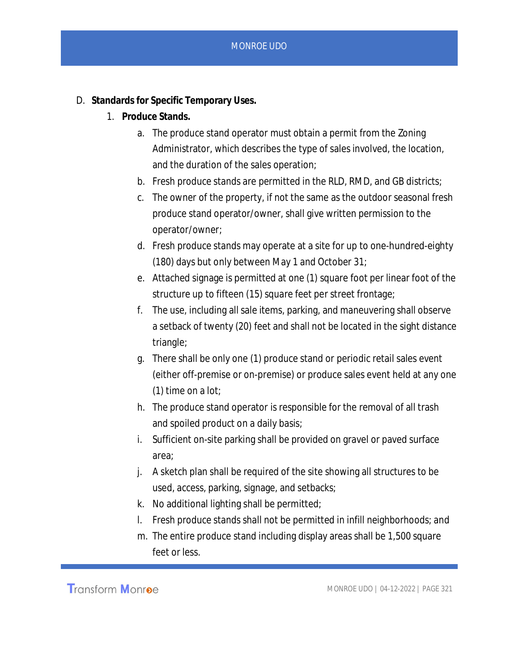- D. **Standards for Specific Temporary Uses.**
	- 1. **Produce Stands.**
		- a. The produce stand operator must obtain a permit from the Zoning Administrator, which describes the type of sales involved, the location, and the duration of the sales operation;
		- b. Fresh produce stands are permitted in the RLD, RMD, and GB districts;
		- c. The owner of the property, if not the same as the outdoor seasonal fresh produce stand operator/owner, shall give written permission to the operator/owner;
		- d. Fresh produce stands may operate at a site for up to one-hundred-eighty (180) days but only between May 1 and October 31;
		- e. Attached signage is permitted at one (1) square foot per linear foot of the structure up to fifteen (15) square feet per street frontage;
		- f. The use, including all sale items, parking, and maneuvering shall observe a setback of twenty (20) feet and shall not be located in the sight distance triangle;
		- g. There shall be only one (1) produce stand or periodic retail sales event (either off-premise or on-premise) or produce sales event held at any one (1) time on a lot;
		- h. The produce stand operator is responsible for the removal of all trash and spoiled product on a daily basis;
		- i. Sufficient on-site parking shall be provided on gravel or paved surface area;
		- j. A sketch plan shall be required of the site showing all structures to be used, access, parking, signage, and setbacks;
		- k. No additional lighting shall be permitted;
		- l. Fresh produce stands shall not be permitted in infill neighborhoods; and
		- m. The entire produce stand including display areas shall be 1,500 square feet or less.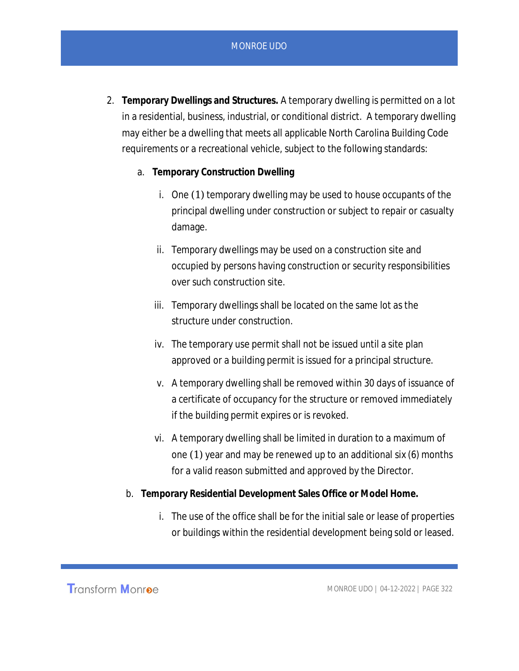- 2. **Temporary Dwellings and Structures.** A temporary dwelling is permitted on a lot in a residential, business, industrial, or conditional district. A temporary dwelling may either be a dwelling that meets all applicable North Carolina Building Code requirements or a recreational vehicle, subject to the following standards:
	- a. **Temporary Construction Dwelling**
		- i. One (1) temporary dwelling may be used to house occupants of the principal dwelling under construction or subject to repair or casualty damage.
		- ii. Temporary dwellings may be used on a construction site and occupied by persons having construction or security responsibilities over such construction site.
		- iii. Temporary dwellings shall be located on the same lot as the structure under construction.
		- iv. The temporary use permit shall not be issued until a site plan approved or a building permit is issued for a principal structure.
		- v. A temporary dwelling shall be removed within 30 days of issuance of a certificate of occupancy for the structure or removed immediately if the building permit expires or is revoked.
		- vi. A temporary dwelling shall be limited in duration to a maximum of one (1) year and may be renewed up to an additional six (6) months for a valid reason submitted and approved by the Director.
	- b. **Temporary Residential Development Sales Office or Model Home.**
		- i. The use of the office shall be for the initial sale or lease of properties or buildings within the residential development being sold or leased.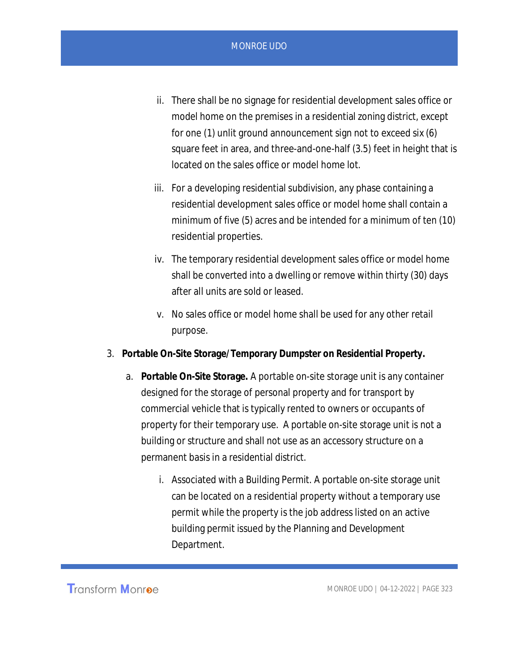- ii. There shall be no signage for residential development sales office or model home on the premises in a residential zoning district, except for one (1) unlit ground announcement sign not to exceed six (6) square feet in area, and three-and-one-half (3.5) feet in height that is located on the sales office or model home lot.
- iii. For a developing residential subdivision, any phase containing a residential development sales office or model home shall contain a minimum of five (5) acres and be intended for a minimum of ten (10) residential properties.
- iv. The temporary residential development sales office or model home shall be converted into a dwelling or remove within thirty (30) days after all units are sold or leased.
- v. No sales office or model home shall be used for any other retail purpose.
- 3. **Portable On-Site Storage/Temporary Dumpster on Residential Property.**
	- a. **Portable On-Site Storage.** A portable on-site storage unit is any container designed for the storage of personal property and for transport by commercial vehicle that is typically rented to owners or occupants of property for their temporary use. A portable on-site storage unit is not a building or structure and shall not use as an accessory structure on a permanent basis in a residential district.
		- i. Associated with a Building Permit. A portable on-site storage unit can be located on a residential property without a temporary use permit while the property is the job address listed on an active building permit issued by the Planning and Development Department.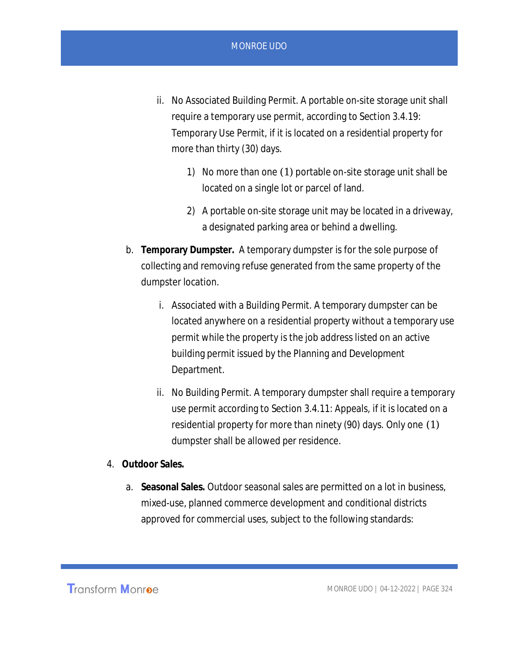- ii. No Associated Building Permit. A portable on-site storage unit shall require a temporary use permit, according to Section 3.4.19: Temporary Use Permit, if it is located on a residential property for more than thirty (30) days.
	- 1) No more than one (1) portable on-site storage unit shall be located on a single lot or parcel of land.
	- 2) A portable on-site storage unit may be located in a driveway, a designated parking area or behind a dwelling.
- b. **Temporary Dumpster.** A temporary dumpster is for the sole purpose of collecting and removing refuse generated from the same property of the dumpster location.
	- i. Associated with a Building Permit. A temporary dumpster can be located anywhere on a residential property without a temporary use permit while the property is the job address listed on an active building permit issued by the Planning and Development Department.
	- ii. No Building Permit. A temporary dumpster shall require a temporary use permit according to Section 3.4.11: Appeals, if it is located on a residential property for more than ninety (90) days. Only one (1) dumpster shall be allowed per residence.
- 4. **Outdoor Sales.**
	- a. **Seasonal Sales.** Outdoor seasonal sales are permitted on a lot in business, mixed-use, planned commerce development and conditional districts approved for commercial uses, subject to the following standards: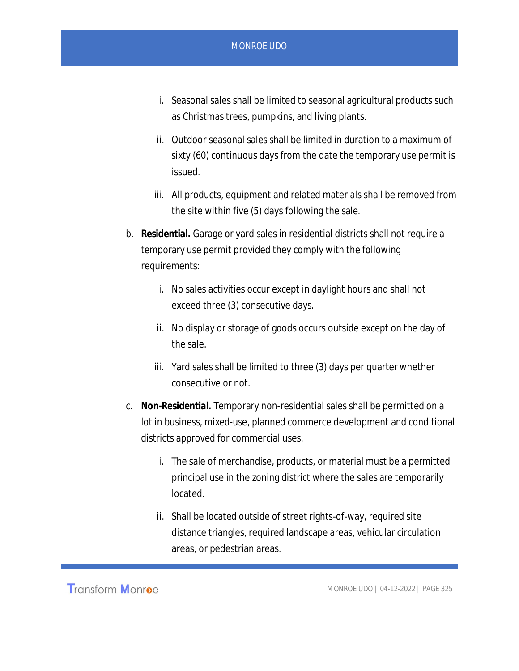- i. Seasonal sales shall be limited to seasonal agricultural products such as Christmas trees, pumpkins, and living plants.
- ii. Outdoor seasonal sales shall be limited in duration to a maximum of sixty (60) continuous days from the date the temporary use permit is issued.
- iii. All products, equipment and related materials shall be removed from the site within five (5) days following the sale.
- b. **Residential.** Garage or yard sales in residential districts shall not require a temporary use permit provided they comply with the following requirements:
	- i. No sales activities occur except in daylight hours and shall not exceed three (3) consecutive days.
	- ii. No display or storage of goods occurs outside except on the day of the sale.
	- iii. Yard sales shall be limited to three (3) days per quarter whether consecutive or not.
- c. **Non-Residential.** Temporary non-residential sales shall be permitted on a lot in business, mixed-use, planned commerce development and conditional districts approved for commercial uses.
	- i. The sale of merchandise, products, or material must be a permitted principal use in the zoning district where the sales are temporarily located.
	- ii. Shall be located outside of street rights-of-way, required site distance triangles, required landscape areas, vehicular circulation areas, or pedestrian areas.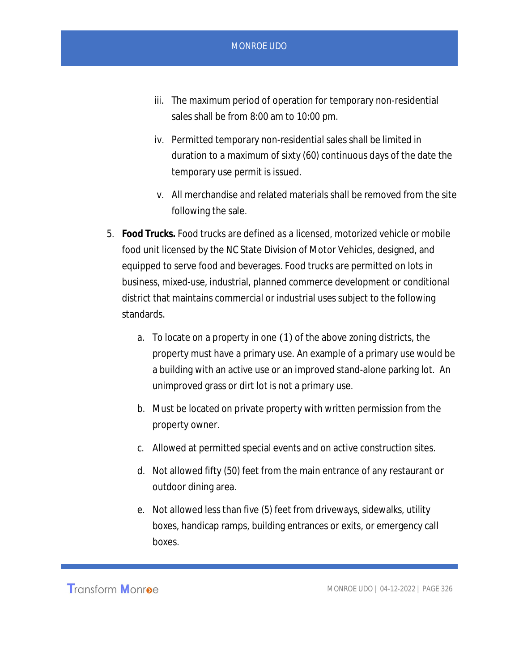- iii. The maximum period of operation for temporary non-residential sales shall be from 8:00 am to 10:00 pm.
- iv. Permitted temporary non-residential sales shall be limited in duration to a maximum of sixty (60) continuous days of the date the temporary use permit is issued.
- v. All merchandise and related materials shall be removed from the site following the sale.
- 5. **Food Trucks.** Food trucks are defined as a licensed, motorized vehicle or mobile food unit licensed by the NC State Division of Motor Vehicles, designed, and equipped to serve food and beverages. Food trucks are permitted on lots in business, mixed-use, industrial, planned commerce development or conditional district that maintains commercial or industrial uses subject to the following standards.
	- a. To locate on a property in one (1) of the above zoning districts, the property must have a primary use. An example of a primary use would be a building with an active use or an improved stand-alone parking lot. An unimproved grass or dirt lot is not a primary use.
	- b. Must be located on private property with written permission from the property owner.
	- c. Allowed at permitted special events and on active construction sites.
	- d. Not allowed fifty (50) feet from the main entrance of any restaurant or outdoor dining area.
	- e. Not allowed less than five (5) feet from driveways, sidewalks, utility boxes, handicap ramps, building entrances or exits, or emergency call boxes.

**Transform Monroe**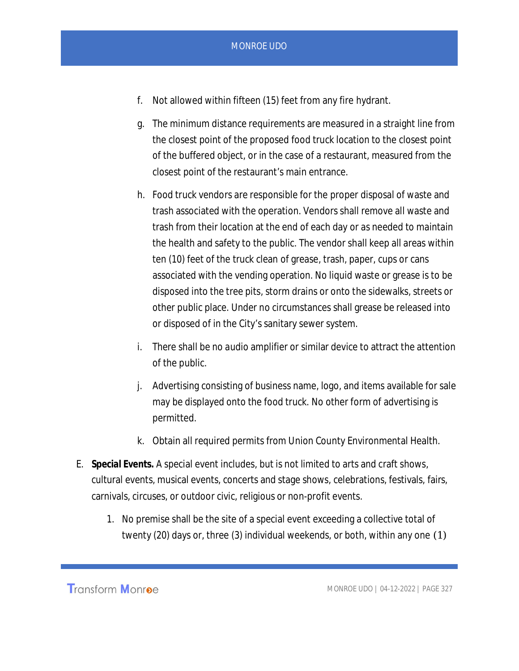- f. Not allowed within fifteen (15) feet from any fire hydrant.
- g. The minimum distance requirements are measured in a straight line from the closest point of the proposed food truck location to the closest point of the buffered object, or in the case of a restaurant, measured from the closest point of the restaurant's main entrance.
- h. Food truck vendors are responsible for the proper disposal of waste and trash associated with the operation. Vendors shall remove all waste and trash from their location at the end of each day or as needed to maintain the health and safety to the public. The vendor shall keep all areas within ten (10) feet of the truck clean of grease, trash, paper, cups or cans associated with the vending operation. No liquid waste or grease is to be disposed into the tree pits, storm drains or onto the sidewalks, streets or other public place. Under no circumstances shall grease be released into or disposed of in the City's sanitary sewer system.
- i. There shall be no audio amplifier or similar device to attract the attention of the public.
- j. Advertising consisting of business name, logo, and items available for sale may be displayed onto the food truck. No other form of advertising is permitted.
- k. Obtain all required permits from Union County Environmental Health.
- E. **Special Events.** A special event includes, but is not limited to arts and craft shows, cultural events, musical events, concerts and stage shows, celebrations, festivals, fairs, carnivals, circuses, or outdoor civic, religious or non-profit events.
	- 1. No premise shall be the site of a special event exceeding a collective total of twenty (20) days or, three (3) individual weekends, or both, within any one (1)

Transform Monroe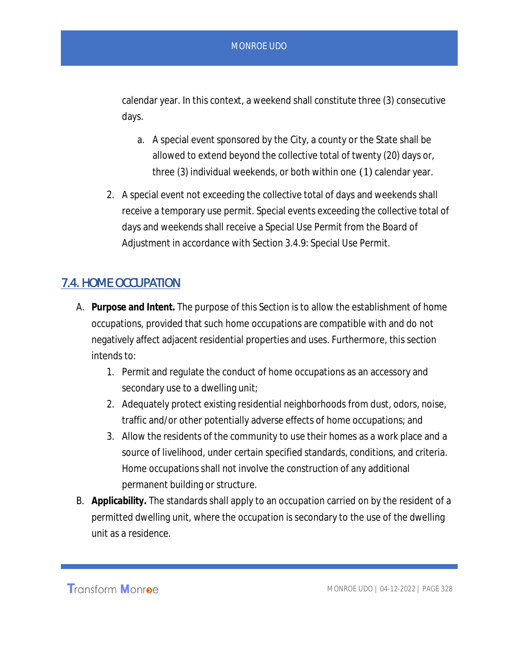calendar year. In this context, a weekend shall constitute three (3) consecutive days.

- a. A special event sponsored by the City, a county or the State shall be allowed to extend beyond the collective total of twenty (20) days or, three (3) individual weekends, or both within one (1) calendar year.
- 2. A special event not exceeding the collective total of days and weekends shall receive a temporary use permit. Special events exceeding the collective total of days and weekends shall receive a Special Use Permit from the Board of Adjustment in accordance with Section 3.4.9: Special Use Permit.

# 7.4. HOME OCCUPATION

- A. **Purpose and Intent.** The purpose of this Section is to allow the establishment of home occupations, provided that such home occupations are compatible with and do not negatively affect adjacent residential properties and uses. Furthermore, this section intends to:
	- 1. Permit and regulate the conduct of home occupations as an accessory and secondary use to a dwelling unit;
	- 2. Adequately protect existing residential neighborhoods from dust, odors, noise, traffic and/or other potentially adverse effects of home occupations; and
	- 3. Allow the residents of the community to use their homes as a work place and a source of livelihood, under certain specified standards, conditions, and criteria. Home occupations shall not involve the construction of any additional permanent building or structure.
- B. **Applicability.** The standards shall apply to an occupation carried on by the resident of a permitted dwelling unit, where the occupation is secondary to the use of the dwelling unit as a residence.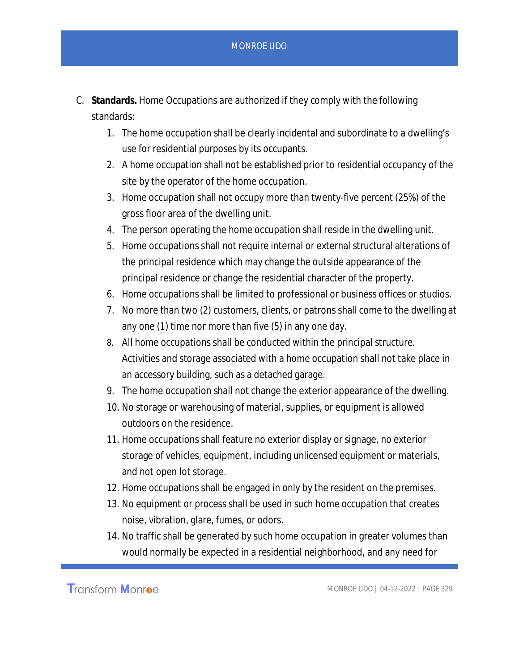- C. **Standards.** Home Occupations are authorized if they comply with the following standards:
	- 1. The home occupation shall be clearly incidental and subordinate to a dwelling's use for residential purposes by its occupants.
	- 2. A home occupation shall not be established prior to residential occupancy of the site by the operator of the home occupation.
	- 3. Home occupation shall not occupy more than twenty-five percent (25%) of the gross floor area of the dwelling unit.
	- 4. The person operating the home occupation shall reside in the dwelling unit.
	- 5. Home occupations shall not require internal or external structural alterations of the principal residence which may change the outside appearance of the principal residence or change the residential character of the property.
	- 6. Home occupations shall be limited to professional or business offices or studios.
	- 7. No more than two (2) customers, clients, or patrons shall come to the dwelling at any one (1) time nor more than five (5) in any one day.
	- 8. All home occupations shall be conducted within the principal structure. Activities and storage associated with a home occupation shall not take place in an accessory building, such as a detached garage.
	- 9. The home occupation shall not change the exterior appearance of the dwelling.
	- 10. No storage or warehousing of material, supplies, or equipment is allowed outdoors on the residence.
	- 11. Home occupations shall feature no exterior display or signage, no exterior storage of vehicles, equipment, including unlicensed equipment or materials, and not open lot storage.
	- 12. Home occupations shall be engaged in only by the resident on the premises.
	- 13. No equipment or process shall be used in such home occupation that creates noise, vibration, glare, fumes, or odors.
	- 14. No traffic shall be generated by such home occupation in greater volumes than would normally be expected in a residential neighborhood, and any need for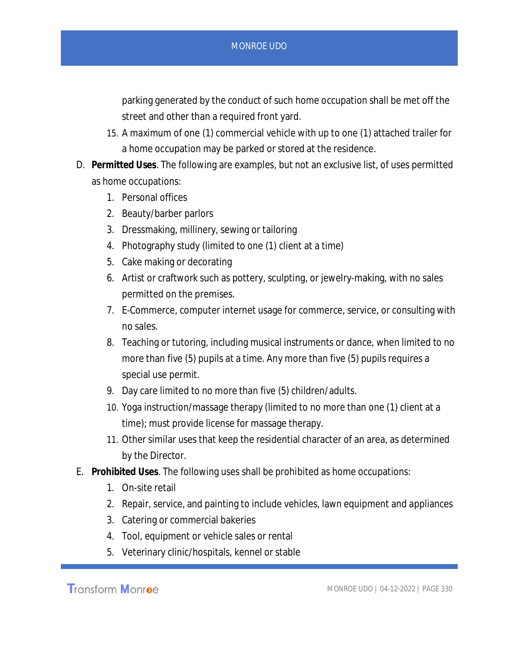parking generated by the conduct of such home occupation shall be met off the street and other than a required front yard.

- 15. A maximum of one (1) commercial vehicle with up to one (1) attached trailer for a home occupation may be parked or stored at the residence.
- D. **Permitted Uses**. The following are examples, but not an exclusive list, of uses permitted as home occupations:
	- 1. Personal offices
	- 2. Beauty/barber parlors
	- 3. Dressmaking, millinery, sewing or tailoring
	- 4. Photography study (limited to one (1) client at a time)
	- 5. Cake making or decorating
	- 6. Artist or craftwork such as pottery, sculpting, or jewelry-making, with no sales permitted on the premises.
	- 7. E-Commerce, computer internet usage for commerce, service, or consulting with no sales.
	- 8. Teaching or tutoring, including musical instruments or dance, when limited to no more than five (5) pupils at a time. Any more than five (5) pupils requires a special use permit.
	- 9. Day care limited to no more than five (5) children/adults.
	- 10. Yoga instruction/massage therapy (limited to no more than one (1) client at a time); must provide license for massage therapy.
	- 11. Other similar uses that keep the residential character of an area, as determined by the Director.
- E. **Prohibited Uses**. The following uses shall be prohibited as home occupations:
	- 1. On-site retail
	- 2. Repair, service, and painting to include vehicles, lawn equipment and appliances
	- 3. Catering or commercial bakeries
	- 4. Tool, equipment or vehicle sales or rental
	- 5. Veterinary clinic/hospitals, kennel or stable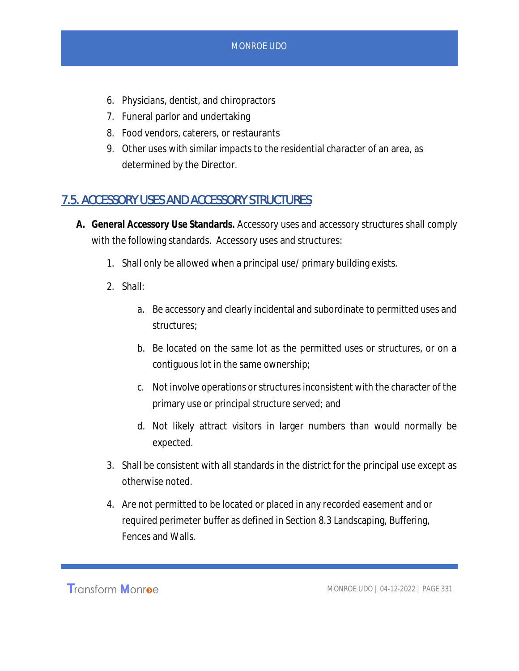- 6. Physicians, dentist, and chiropractors
- 7. Funeral parlor and undertaking
- 8. Food vendors, caterers, or restaurants
- 9. Other uses with similar impacts to the residential character of an area, as determined by the Director.

# 7.5. ACCESSORY USES AND ACCESSORY STRUCTURES

- **A. General Accessory Use Standards.** Accessory uses and accessory structures shall comply with the following standards. Accessory uses and structures:
	- 1. Shall only be allowed when a principal use/ primary building exists.
	- 2. Shall:
		- a. Be accessory and clearly incidental and subordinate to permitted uses and structures;
		- b. Be located on the same lot as the permitted uses or structures, or on a contiguous lot in the same ownership;
		- c. Not involve operations or structures inconsistent with the character of the primary use or principal structure served; and
		- d. Not likely attract visitors in larger numbers than would normally be expected.
	- 3. Shall be consistent with all standards in the district for the principal use except as otherwise noted.
	- 4. Are not permitted to be located or placed in any recorded easement and or required perimeter buffer as defined in Section 8.3 Landscaping, Buffering, Fences and Walls.

**Transform Monroe**